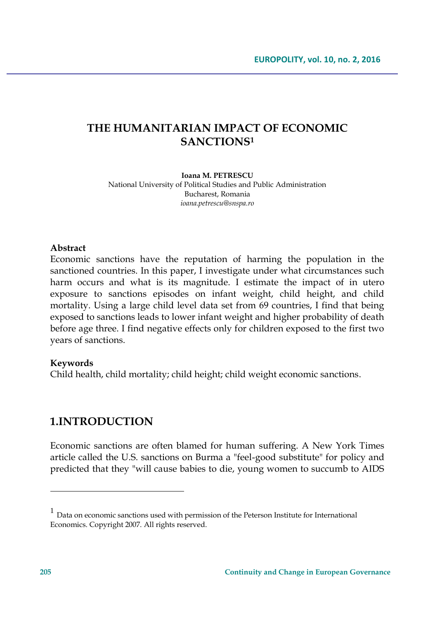# **THE HUMANITARIAN IMPACT OF ECONOMIC SANCTIONS<sup>1</sup>**

#### **Ioana M. PETRESCU** National University of Political Studies and Public Administration Bucharest, Romania *ioana.petrescu@snspa.ro*

#### **Abstract**

Economic sanctions have the reputation of harming the population in the sanctioned countries. In this paper, I investigate under what circumstances such harm occurs and what is its magnitude. I estimate the impact of in utero exposure to sanctions episodes on infant weight, child height, and child mortality. Using a large child level data set from 69 countries, I find that being exposed to sanctions leads to lower infant weight and higher probability of death before age three. I find negative effects only for children exposed to the first two years of sanctions.

#### **Keywords**

Child health, child mortality; child height; child weight economic sanctions.

## **1.INTRODUCTION**

Economic sanctions are often blamed for human suffering. A New York Times article called the U.S. sanctions on Burma a "feel-good substitute" for policy and predicted that they "will cause babies to die, young women to succumb to AIDS

 $\overline{a}$ 

 $<sup>1</sup>$  Data on economic sanctions used with permission of the Peterson Institute for International</sup> Economics. Copyright 2007. All rights reserved.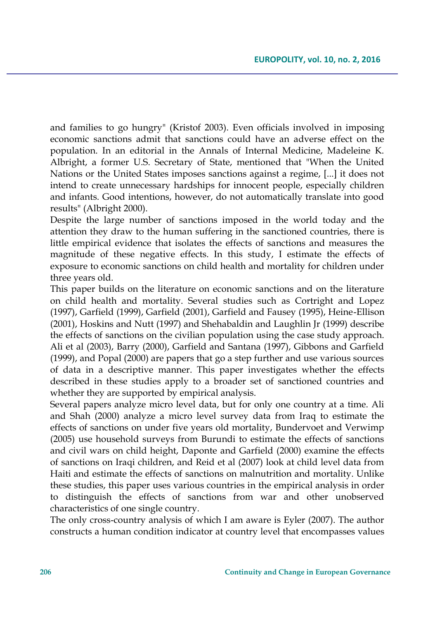and families to go hungry" (Kristof 2003). Even officials involved in imposing economic sanctions admit that sanctions could have an adverse effect on the population. In an editorial in the Annals of Internal Medicine, Madeleine K. Albright, a former U.S. Secretary of State, mentioned that "When the United Nations or the United States imposes sanctions against a regime, [...] it does not intend to create unnecessary hardships for innocent people, especially children and infants. Good intentions, however, do not automatically translate into good results" (Albright 2000).

Despite the large number of sanctions imposed in the world today and the attention they draw to the human suffering in the sanctioned countries, there is little empirical evidence that isolates the effects of sanctions and measures the magnitude of these negative effects. In this study, I estimate the effects of exposure to economic sanctions on child health and mortality for children under three years old.

This paper builds on the literature on economic sanctions and on the literature on child health and mortality. Several studies such as Cortright and Lopez (1997), Garfield (1999), Garfield (2001), Garfield and Fausey (1995), Heine-Ellison (2001), Hoskins and Nutt (1997) and Shehabaldin and Laughlin Jr (1999) describe the effects of sanctions on the civilian population using the case study approach. Ali et al (2003), Barry (2000), Garfield and Santana (1997), Gibbons and Garfield (1999), and Popal (2000) are papers that go a step further and use various sources of data in a descriptive manner. This paper investigates whether the effects described in these studies apply to a broader set of sanctioned countries and whether they are supported by empirical analysis.

Several papers analyze micro level data, but for only one country at a time. Ali and Shah (2000) analyze a micro level survey data from Iraq to estimate the effects of sanctions on under five years old mortality, Bundervoet and Verwimp (2005) use household surveys from Burundi to estimate the effects of sanctions and civil wars on child height, Daponte and Garfield (2000) examine the effects of sanctions on Iraqi children, and Reid et al (2007) look at child level data from Haiti and estimate the effects of sanctions on malnutrition and mortality. Unlike these studies, this paper uses various countries in the empirical analysis in order to distinguish the effects of sanctions from war and other unobserved characteristics of one single country.

The only cross-country analysis of which I am aware is Eyler (2007). The author constructs a human condition indicator at country level that encompasses values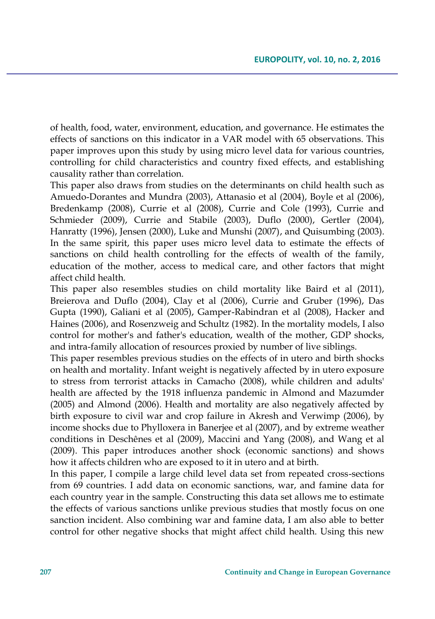of health, food, water, environment, education, and governance. He estimates the effects of sanctions on this indicator in a VAR model with 65 observations. This paper improves upon this study by using micro level data for various countries, controlling for child characteristics and country fixed effects, and establishing causality rather than correlation.

This paper also draws from studies on the determinants on child health such as Amuedo-Dorantes and Mundra (2003), Attanasio et al (2004), Boyle et al (2006), Bredenkamp (2008), Currie et al (2008), Currie and Cole (1993), Currie and Schmieder (2009), Currie and Stabile (2003), Duflo (2000), Gertler (2004), Hanratty (1996), Jensen (2000), Luke and Munshi (2007), and Quisumbing (2003). In the same spirit, this paper uses micro level data to estimate the effects of sanctions on child health controlling for the effects of wealth of the family, education of the mother, access to medical care, and other factors that might affect child health.

This paper also resembles studies on child mortality like Baird et al (2011), Breierova and Duflo (2004), Clay et al (2006), Currie and Gruber (1996), Das Gupta (1990), Galiani et al (2005), Gamper-Rabindran et al (2008), Hacker and Haines (2006), and Rosenzweig and Schultz (1982). In the mortality models, I also control for mother's and father's education, wealth of the mother, GDP shocks, and intra-family allocation of resources proxied by number of live siblings.

This paper resembles previous studies on the effects of in utero and birth shocks on health and mortality. Infant weight is negatively affected by in utero exposure to stress from terrorist attacks in Camacho (2008), while children and adults' health are affected by the 1918 influenza pandemic in Almond and Mazumder (2005) and Almond (2006). Health and mortality are also negatively affected by birth exposure to civil war and crop failure in Akresh and Verwimp (2006), by income shocks due to Phylloxera in Banerjee et al (2007), and by extreme weather conditions in Deschênes et al (2009), Maccini and Yang (2008), and Wang et al (2009). This paper introduces another shock (economic sanctions) and shows how it affects children who are exposed to it in utero and at birth.

In this paper, I compile a large child level data set from repeated cross-sections from 69 countries. I add data on economic sanctions, war, and famine data for each country year in the sample. Constructing this data set allows me to estimate the effects of various sanctions unlike previous studies that mostly focus on one sanction incident. Also combining war and famine data, I am also able to better control for other negative shocks that might affect child health. Using this new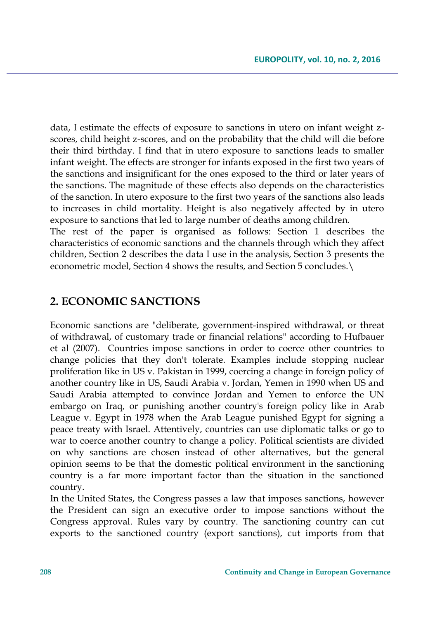data, I estimate the effects of exposure to sanctions in utero on infant weight zscores, child height z-scores, and on the probability that the child will die before their third birthday. I find that in utero exposure to sanctions leads to smaller infant weight. The effects are stronger for infants exposed in the first two years of the sanctions and insignificant for the ones exposed to the third or later years of the sanctions. The magnitude of these effects also depends on the characteristics of the sanction. In utero exposure to the first two years of the sanctions also leads to increases in child mortality. Height is also negatively affected by in utero exposure to sanctions that led to large number of deaths among children.

The rest of the paper is organised as follows: Section 1 describes the characteristics of economic sanctions and the channels through which they affect children, Section 2 describes the data I use in the analysis, Section 3 presents the econometric model, Section 4 shows the results, and Section 5 concludes.\

### **2. ECONOMIC SANCTIONS**

Economic sanctions are "deliberate, government-inspired withdrawal, or threat of withdrawal, of customary trade or financial relations" according to Hufbauer et al (2007). Countries impose sanctions in order to coerce other countries to change policies that they don't tolerate. Examples include stopping nuclear proliferation like in US v. Pakistan in 1999, coercing a change in foreign policy of another country like in US, Saudi Arabia v. Jordan, Yemen in 1990 when US and Saudi Arabia attempted to convince Jordan and Yemen to enforce the UN embargo on Iraq, or punishing another country's foreign policy like in Arab League v. Egypt in 1978 when the Arab League punished Egypt for signing a peace treaty with Israel. Attentively, countries can use diplomatic talks or go to war to coerce another country to change a policy. Political scientists are divided on why sanctions are chosen instead of other alternatives, but the general opinion seems to be that the domestic political environment in the sanctioning country is a far more important factor than the situation in the sanctioned country.

In the United States, the Congress passes a law that imposes sanctions, however the President can sign an executive order to impose sanctions without the Congress approval. Rules vary by country. The sanctioning country can cut exports to the sanctioned country (export sanctions), cut imports from that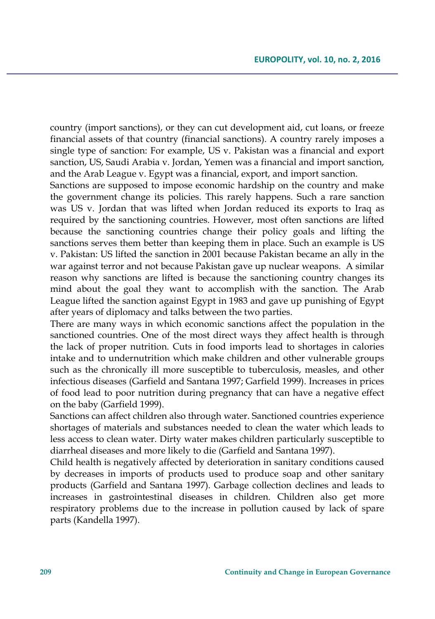country (import sanctions), or they can cut development aid, cut loans, or freeze financial assets of that country (financial sanctions). A country rarely imposes a single type of sanction: For example, US v. Pakistan was a financial and export sanction, US, Saudi Arabia v. Jordan, Yemen was a financial and import sanction, and the Arab League v. Egypt was a financial, export, and import sanction.

Sanctions are supposed to impose economic hardship on the country and make the government change its policies. This rarely happens. Such a rare sanction was US v. Jordan that was lifted when Jordan reduced its exports to Iraq as required by the sanctioning countries. However, most often sanctions are lifted because the sanctioning countries change their policy goals and lifting the sanctions serves them better than keeping them in place. Such an example is US v. Pakistan: US lifted the sanction in 2001 because Pakistan became an ally in the war against terror and not because Pakistan gave up nuclear weapons. A similar reason why sanctions are lifted is because the sanctioning country changes its mind about the goal they want to accomplish with the sanction. The Arab League lifted the sanction against Egypt in 1983 and gave up punishing of Egypt after years of diplomacy and talks between the two parties.

There are many ways in which economic sanctions affect the population in the sanctioned countries. One of the most direct ways they affect health is through the lack of proper nutrition. Cuts in food imports lead to shortages in calories intake and to undernutrition which make children and other vulnerable groups such as the chronically ill more susceptible to tuberculosis, measles, and other infectious diseases (Garfield and Santana 1997; Garfield 1999). Increases in prices of food lead to poor nutrition during pregnancy that can have a negative effect on the baby (Garfield 1999).

Sanctions can affect children also through water. Sanctioned countries experience shortages of materials and substances needed to clean the water which leads to less access to clean water. Dirty water makes children particularly susceptible to diarrheal diseases and more likely to die (Garfield and Santana 1997).

Child health is negatively affected by deterioration in sanitary conditions caused by decreases in imports of products used to produce soap and other sanitary products (Garfield and Santana 1997). Garbage collection declines and leads to increases in gastrointestinal diseases in children. Children also get more respiratory problems due to the increase in pollution caused by lack of spare parts (Kandella 1997).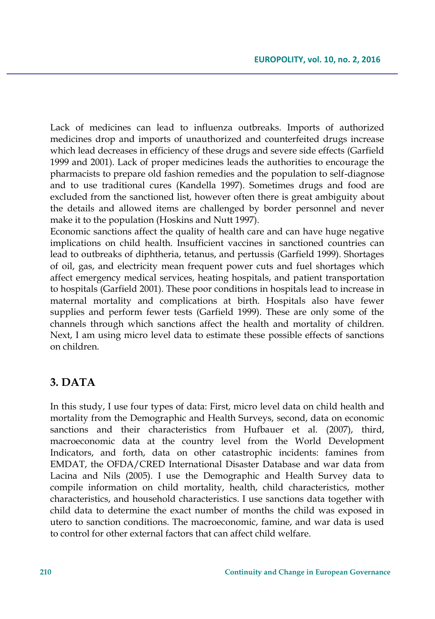Lack of medicines can lead to influenza outbreaks. Imports of authorized medicines drop and imports of unauthorized and counterfeited drugs increase which lead decreases in efficiency of these drugs and severe side effects (Garfield 1999 and 2001). Lack of proper medicines leads the authorities to encourage the pharmacists to prepare old fashion remedies and the population to self-diagnose and to use traditional cures (Kandella 1997). Sometimes drugs and food are excluded from the sanctioned list, however often there is great ambiguity about the details and allowed items are challenged by border personnel and never make it to the population (Hoskins and Nutt 1997).

Economic sanctions affect the quality of health care and can have huge negative implications on child health. Insufficient vaccines in sanctioned countries can lead to outbreaks of diphtheria, tetanus, and pertussis (Garfield 1999). Shortages of oil, gas, and electricity mean frequent power cuts and fuel shortages which affect emergency medical services, heating hospitals, and patient transportation to hospitals (Garfield 2001). These poor conditions in hospitals lead to increase in maternal mortality and complications at birth. Hospitals also have fewer supplies and perform fewer tests (Garfield 1999). These are only some of the channels through which sanctions affect the health and mortality of children. Next, I am using micro level data to estimate these possible effects of sanctions on children.

## **3. DATA**

In this study, I use four types of data: First, micro level data on child health and mortality from the Demographic and Health Surveys, second, data on economic sanctions and their characteristics from Hufbauer et al. (2007), third, macroeconomic data at the country level from the World Development Indicators, and forth, data on other catastrophic incidents: famines from EMDAT, the OFDA/CRED International Disaster Database and war data from Lacina and Nils (2005). I use the Demographic and Health Survey data to compile information on child mortality, health, child characteristics, mother characteristics, and household characteristics. I use sanctions data together with child data to determine the exact number of months the child was exposed in utero to sanction conditions. The macroeconomic, famine, and war data is used to control for other external factors that can affect child welfare.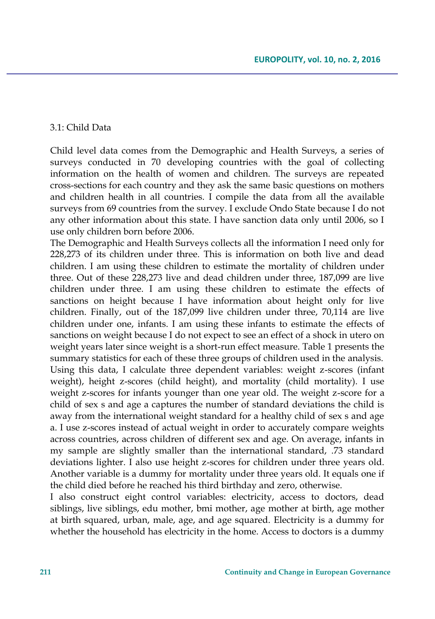#### 3.1: Child Data

Child level data comes from the Demographic and Health Surveys, a series of surveys conducted in 70 developing countries with the goal of collecting information on the health of women and children. The surveys are repeated cross-sections for each country and they ask the same basic questions on mothers and children health in all countries. I compile the data from all the available surveys from 69 countries from the survey. I exclude Ondo State because I do not any other information about this state. I have sanction data only until 2006, so I use only children born before 2006.

The Demographic and Health Surveys collects all the information I need only for 228,273 of its children under three. This is information on both live and dead children. I am using these children to estimate the mortality of children under three. Out of these 228,273 live and dead children under three, 187,099 are live children under three. I am using these children to estimate the effects of sanctions on height because I have information about height only for live children. Finally, out of the 187,099 live children under three, 70,114 are live children under one, infants. I am using these infants to estimate the effects of sanctions on weight because I do not expect to see an effect of a shock in utero on weight years later since weight is a short-run effect measure. Table 1 presents the summary statistics for each of these three groups of children used in the analysis. Using this data, I calculate three dependent variables: weight z-scores (infant weight), height z-scores (child height), and mortality (child mortality). I use weight z-scores for infants younger than one year old. The weight z-score for a child of sex s and age a captures the number of standard deviations the child is away from the international weight standard for a healthy child of sex s and age a. I use z-scores instead of actual weight in order to accurately compare weights across countries, across children of different sex and age. On average, infants in my sample are slightly smaller than the international standard, .73 standard deviations lighter. I also use height z-scores for children under three years old. Another variable is a dummy for mortality under three years old. It equals one if the child died before he reached his third birthday and zero, otherwise.

I also construct eight control variables: electricity, access to doctors, dead siblings, live siblings, edu mother, bmi mother, age mother at birth, age mother at birth squared, urban, male, age, and age squared. Electricity is a dummy for whether the household has electricity in the home. Access to doctors is a dummy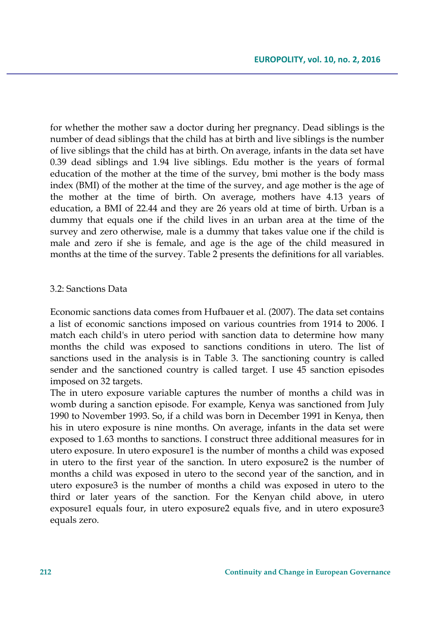for whether the mother saw a doctor during her pregnancy. Dead siblings is the number of dead siblings that the child has at birth and live siblings is the number of live siblings that the child has at birth. On average, infants in the data set have 0.39 dead siblings and 1.94 live siblings. Edu mother is the years of formal education of the mother at the time of the survey, bmi mother is the body mass index (BMI) of the mother at the time of the survey, and age mother is the age of the mother at the time of birth. On average, mothers have 4.13 years of education, a BMI of 22.44 and they are 26 years old at time of birth. Urban is a dummy that equals one if the child lives in an urban area at the time of the survey and zero otherwise, male is a dummy that takes value one if the child is male and zero if she is female, and age is the age of the child measured in months at the time of the survey. Table 2 presents the definitions for all variables.

#### 3.2: Sanctions Data

Economic sanctions data comes from Hufbauer et al. (2007). The data set contains a list of economic sanctions imposed on various countries from 1914 to 2006. I match each child's in utero period with sanction data to determine how many months the child was exposed to sanctions conditions in utero. The list of sanctions used in the analysis is in Table 3. The sanctioning country is called sender and the sanctioned country is called target. I use 45 sanction episodes imposed on 32 targets.

The in utero exposure variable captures the number of months a child was in womb during a sanction episode. For example, Kenya was sanctioned from July 1990 to November 1993. So, if a child was born in December 1991 in Kenya, then his in utero exposure is nine months. On average, infants in the data set were exposed to 1.63 months to sanctions. I construct three additional measures for in utero exposure. In utero exposure1 is the number of months a child was exposed in utero to the first year of the sanction. In utero exposure2 is the number of months a child was exposed in utero to the second year of the sanction, and in utero exposure3 is the number of months a child was exposed in utero to the third or later years of the sanction. For the Kenyan child above, in utero exposure1 equals four, in utero exposure2 equals five, and in utero exposure3 equals zero.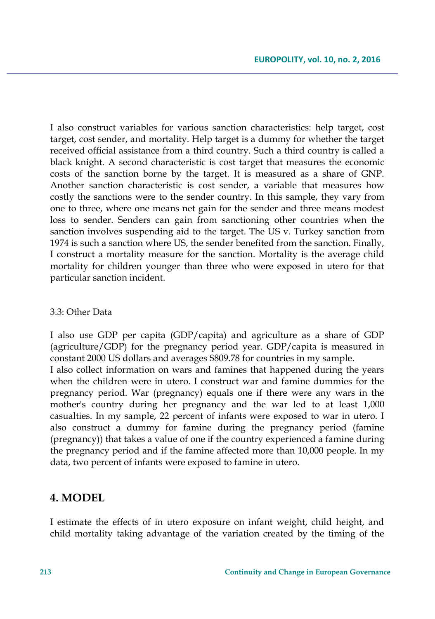I also construct variables for various sanction characteristics: help target, cost target, cost sender, and mortality. Help target is a dummy for whether the target received official assistance from a third country. Such a third country is called a black knight. A second characteristic is cost target that measures the economic costs of the sanction borne by the target. It is measured as a share of GNP. Another sanction characteristic is cost sender, a variable that measures how costly the sanctions were to the sender country. In this sample, they vary from one to three, where one means net gain for the sender and three means modest loss to sender. Senders can gain from sanctioning other countries when the sanction involves suspending aid to the target. The US v. Turkey sanction from 1974 is such a sanction where US, the sender benefited from the sanction. Finally, I construct a mortality measure for the sanction. Mortality is the average child mortality for children younger than three who were exposed in utero for that particular sanction incident.

#### 3.3: Other Data

I also use GDP per capita (GDP/capita) and agriculture as a share of GDP (agriculture/GDP) for the pregnancy period year. GDP/capita is measured in constant 2000 US dollars and averages \$809.78 for countries in my sample.

I also collect information on wars and famines that happened during the years when the children were in utero. I construct war and famine dummies for the pregnancy period. War (pregnancy) equals one if there were any wars in the mother's country during her pregnancy and the war led to at least 1,000 casualties. In my sample, 22 percent of infants were exposed to war in utero. I also construct a dummy for famine during the pregnancy period (famine (pregnancy)) that takes a value of one if the country experienced a famine during the pregnancy period and if the famine affected more than 10,000 people. In my data, two percent of infants were exposed to famine in utero.

### **4. MODEL**

I estimate the effects of in utero exposure on infant weight, child height, and child mortality taking advantage of the variation created by the timing of the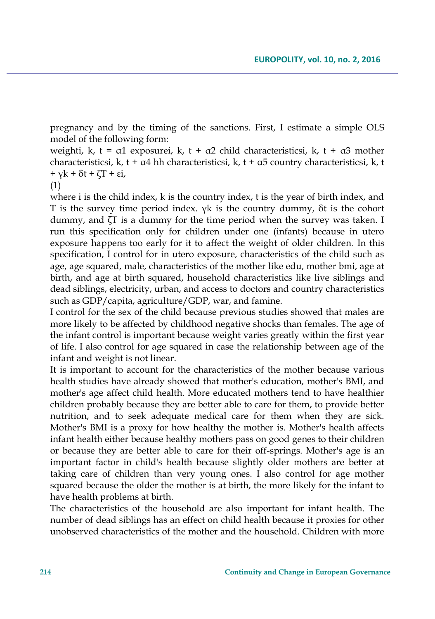pregnancy and by the timing of the sanctions. First, I estimate a simple OLS model of the following form:

weighti, k, t =  $\alpha$ 1 exposurei, k, t +  $\alpha$ 2 child characteristicsi, k, t +  $\alpha$ 3 mother characteristicsi, k, t +  $\alpha$ 4 hh characteristicsi, k, t +  $\alpha$ 5 country characteristicsi, k, t + γk + δt + ζT + εi,

#### (1)

where i is the child index, k is the country index, t is the year of birth index, and T is the survey time period index. γk is the country dummy, δt is the cohort dummy, and ζT is a dummy for the time period when the survey was taken. I run this specification only for children under one (infants) because in utero exposure happens too early for it to affect the weight of older children. In this specification, I control for in utero exposure, characteristics of the child such as age, age squared, male, characteristics of the mother like edu, mother bmi, age at birth, and age at birth squared, household characteristics like live siblings and dead siblings, electricity, urban, and access to doctors and country characteristics such as GDP/capita, agriculture/GDP, war, and famine.

I control for the sex of the child because previous studies showed that males are more likely to be affected by childhood negative shocks than females. The age of the infant control is important because weight varies greatly within the first year of life. I also control for age squared in case the relationship between age of the infant and weight is not linear.

It is important to account for the characteristics of the mother because various health studies have already showed that mother's education, mother's BMI, and mother's age affect child health. More educated mothers tend to have healthier children probably because they are better able to care for them, to provide better nutrition, and to seek adequate medical care for them when they are sick. Mother's BMI is a proxy for how healthy the mother is. Mother's health affects infant health either because healthy mothers pass on good genes to their children or because they are better able to care for their off-springs. Mother's age is an important factor in child's health because slightly older mothers are better at taking care of children than very young ones. I also control for age mother squared because the older the mother is at birth, the more likely for the infant to have health problems at birth.

The characteristics of the household are also important for infant health. The number of dead siblings has an effect on child health because it proxies for other unobserved characteristics of the mother and the household. Children with more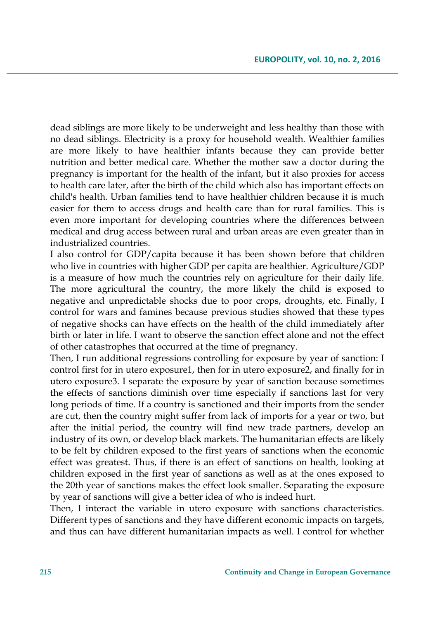dead siblings are more likely to be underweight and less healthy than those with no dead siblings. Electricity is a proxy for household wealth. Wealthier families are more likely to have healthier infants because they can provide better nutrition and better medical care. Whether the mother saw a doctor during the pregnancy is important for the health of the infant, but it also proxies for access to health care later, after the birth of the child which also has important effects on child's health. Urban families tend to have healthier children because it is much easier for them to access drugs and health care than for rural families. This is even more important for developing countries where the differences between medical and drug access between rural and urban areas are even greater than in industrialized countries.

I also control for GDP/capita because it has been shown before that children who live in countries with higher GDP per capita are healthier. Agriculture/GDP is a measure of how much the countries rely on agriculture for their daily life. The more agricultural the country, the more likely the child is exposed to negative and unpredictable shocks due to poor crops, droughts, etc. Finally, I control for wars and famines because previous studies showed that these types of negative shocks can have effects on the health of the child immediately after birth or later in life. I want to observe the sanction effect alone and not the effect of other catastrophes that occurred at the time of pregnancy.

Then, I run additional regressions controlling for exposure by year of sanction: I control first for in utero exposure1, then for in utero exposure2, and finally for in utero exposure3. I separate the exposure by year of sanction because sometimes the effects of sanctions diminish over time especially if sanctions last for very long periods of time. If a country is sanctioned and their imports from the sender are cut, then the country might suffer from lack of imports for a year or two, but after the initial period, the country will find new trade partners, develop an industry of its own, or develop black markets. The humanitarian effects are likely to be felt by children exposed to the first years of sanctions when the economic effect was greatest. Thus, if there is an effect of sanctions on health, looking at children exposed in the first year of sanctions as well as at the ones exposed to the 20th year of sanctions makes the effect look smaller. Separating the exposure by year of sanctions will give a better idea of who is indeed hurt.

Then, I interact the variable in utero exposure with sanctions characteristics. Different types of sanctions and they have different economic impacts on targets, and thus can have different humanitarian impacts as well. I control for whether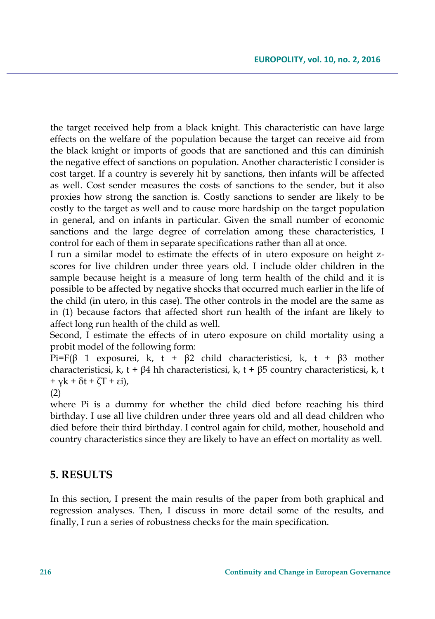the target received help from a black knight. This characteristic can have large effects on the welfare of the population because the target can receive aid from the black knight or imports of goods that are sanctioned and this can diminish the negative effect of sanctions on population. Another characteristic I consider is cost target. If a country is severely hit by sanctions, then infants will be affected as well. Cost sender measures the costs of sanctions to the sender, but it also proxies how strong the sanction is. Costly sanctions to sender are likely to be costly to the target as well and to cause more hardship on the target population in general, and on infants in particular. Given the small number of economic sanctions and the large degree of correlation among these characteristics, I control for each of them in separate specifications rather than all at once.

I run a similar model to estimate the effects of in utero exposure on height zscores for live children under three years old. I include older children in the sample because height is a measure of long term health of the child and it is possible to be affected by negative shocks that occurred much earlier in the life of the child (in utero, in this case). The other controls in the model are the same as in (1) because factors that affected short run health of the infant are likely to affect long run health of the child as well.

Second, I estimate the effects of in utero exposure on child mortality using a probit model of the following form:

Pi=F(β 1 exposurei, k, t + β2 child characteristicsi, k, t + β3 mother characteristicsi, k, t + β4 hh characteristicsi, k, t + β5 country characteristicsi, k, t +  $\gamma$ k + δt + ζT + εi),

(2)

where Pi is a dummy for whether the child died before reaching his third birthday. I use all live children under three years old and all dead children who died before their third birthday. I control again for child, mother, household and country characteristics since they are likely to have an effect on mortality as well.

## **5. RESULTS**

In this section, I present the main results of the paper from both graphical and regression analyses. Then, I discuss in more detail some of the results, and finally, I run a series of robustness checks for the main specification.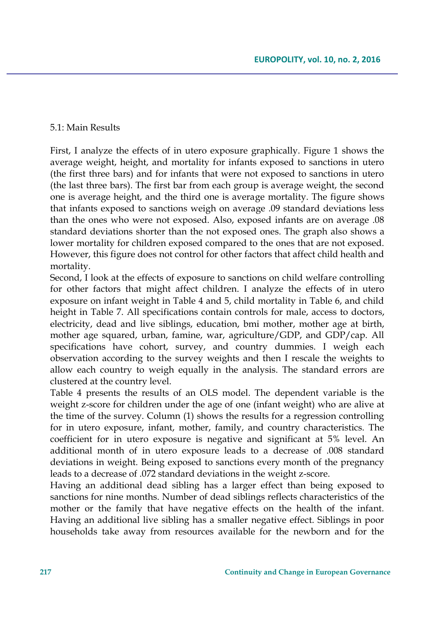#### 5.1: Main Results

First, I analyze the effects of in utero exposure graphically. Figure 1 shows the average weight, height, and mortality for infants exposed to sanctions in utero (the first three bars) and for infants that were not exposed to sanctions in utero (the last three bars). The first bar from each group is average weight, the second one is average height, and the third one is average mortality. The figure shows that infants exposed to sanctions weigh on average .09 standard deviations less than the ones who were not exposed. Also, exposed infants are on average .08 standard deviations shorter than the not exposed ones. The graph also shows a lower mortality for children exposed compared to the ones that are not exposed. However, this figure does not control for other factors that affect child health and mortality.

Second, I look at the effects of exposure to sanctions on child welfare controlling for other factors that might affect children. I analyze the effects of in utero exposure on infant weight in Table 4 and 5, child mortality in Table 6, and child height in Table 7. All specifications contain controls for male, access to doctors, electricity, dead and live siblings, education, bmi mother, mother age at birth, mother age squared, urban, famine, war, agriculture/GDP, and GDP/cap. All specifications have cohort, survey, and country dummies. I weigh each observation according to the survey weights and then I rescale the weights to allow each country to weigh equally in the analysis. The standard errors are clustered at the country level.

Table 4 presents the results of an OLS model. The dependent variable is the weight z-score for children under the age of one (infant weight) who are alive at the time of the survey. Column (1) shows the results for a regression controlling for in utero exposure, infant, mother, family, and country characteristics. The coefficient for in utero exposure is negative and significant at 5% level. An additional month of in utero exposure leads to a decrease of .008 standard deviations in weight. Being exposed to sanctions every month of the pregnancy leads to a decrease of .072 standard deviations in the weight z-score.

Having an additional dead sibling has a larger effect than being exposed to sanctions for nine months. Number of dead siblings reflects characteristics of the mother or the family that have negative effects on the health of the infant. Having an additional live sibling has a smaller negative effect. Siblings in poor households take away from resources available for the newborn and for the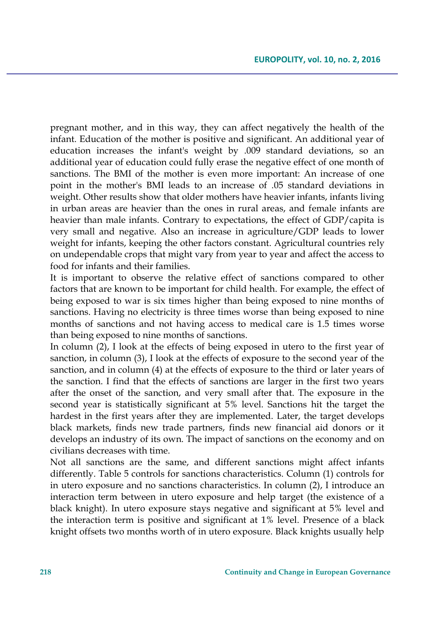pregnant mother, and in this way, they can affect negatively the health of the infant. Education of the mother is positive and significant. An additional year of education increases the infant's weight by .009 standard deviations, so an additional year of education could fully erase the negative effect of one month of sanctions. The BMI of the mother is even more important: An increase of one point in the mother's BMI leads to an increase of .05 standard deviations in weight. Other results show that older mothers have heavier infants, infants living in urban areas are heavier than the ones in rural areas, and female infants are heavier than male infants. Contrary to expectations, the effect of GDP/capita is very small and negative. Also an increase in agriculture/GDP leads to lower weight for infants, keeping the other factors constant. Agricultural countries rely on undependable crops that might vary from year to year and affect the access to food for infants and their families.

It is important to observe the relative effect of sanctions compared to other factors that are known to be important for child health. For example, the effect of being exposed to war is six times higher than being exposed to nine months of sanctions. Having no electricity is three times worse than being exposed to nine months of sanctions and not having access to medical care is 1.5 times worse than being exposed to nine months of sanctions.

In column (2), I look at the effects of being exposed in utero to the first year of sanction, in column (3), I look at the effects of exposure to the second year of the sanction, and in column (4) at the effects of exposure to the third or later years of the sanction. I find that the effects of sanctions are larger in the first two years after the onset of the sanction, and very small after that. The exposure in the second year is statistically significant at 5% level. Sanctions hit the target the hardest in the first years after they are implemented. Later, the target develops black markets, finds new trade partners, finds new financial aid donors or it develops an industry of its own. The impact of sanctions on the economy and on civilians decreases with time.

Not all sanctions are the same, and different sanctions might affect infants differently. Table 5 controls for sanctions characteristics. Column (1) controls for in utero exposure and no sanctions characteristics. In column (2), I introduce an interaction term between in utero exposure and help target (the existence of a black knight). In utero exposure stays negative and significant at 5% level and the interaction term is positive and significant at 1% level. Presence of a black knight offsets two months worth of in utero exposure. Black knights usually help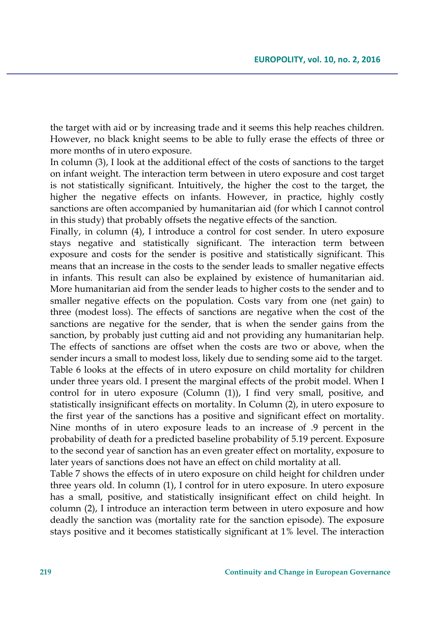the target with aid or by increasing trade and it seems this help reaches children. However, no black knight seems to be able to fully erase the effects of three or more months of in utero exposure.

In column (3), I look at the additional effect of the costs of sanctions to the target on infant weight. The interaction term between in utero exposure and cost target is not statistically significant. Intuitively, the higher the cost to the target, the higher the negative effects on infants. However, in practice, highly costly sanctions are often accompanied by humanitarian aid (for which I cannot control in this study) that probably offsets the negative effects of the sanction.

Finally, in column (4), I introduce a control for cost sender. In utero exposure stays negative and statistically significant. The interaction term between exposure and costs for the sender is positive and statistically significant. This means that an increase in the costs to the sender leads to smaller negative effects in infants. This result can also be explained by existence of humanitarian aid. More humanitarian aid from the sender leads to higher costs to the sender and to smaller negative effects on the population. Costs vary from one (net gain) to three (modest loss). The effects of sanctions are negative when the cost of the sanctions are negative for the sender, that is when the sender gains from the sanction, by probably just cutting aid and not providing any humanitarian help. The effects of sanctions are offset when the costs are two or above, when the sender incurs a small to modest loss, likely due to sending some aid to the target. Table 6 looks at the effects of in utero exposure on child mortality for children under three years old. I present the marginal effects of the probit model. When I control for in utero exposure (Column (1)), I find very small, positive, and statistically insignificant effects on mortality. In Column (2), in utero exposure to the first year of the sanctions has a positive and significant effect on mortality. Nine months of in utero exposure leads to an increase of .9 percent in the probability of death for a predicted baseline probability of 5.19 percent. Exposure to the second year of sanction has an even greater effect on mortality, exposure to later years of sanctions does not have an effect on child mortality at all.

Table 7 shows the effects of in utero exposure on child height for children under three years old. In column (1), I control for in utero exposure. In utero exposure has a small, positive, and statistically insignificant effect on child height. In column (2), I introduce an interaction term between in utero exposure and how deadly the sanction was (mortality rate for the sanction episode). The exposure stays positive and it becomes statistically significant at 1% level. The interaction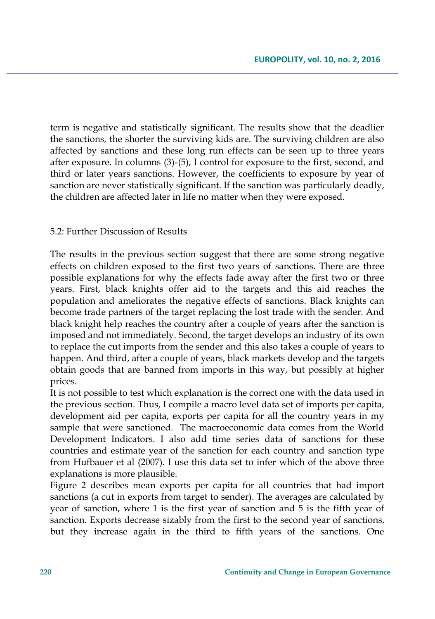term is negative and statistically significant. The results show that the deadlier the sanctions, the shorter the surviving kids are. The surviving children are also affected by sanctions and these long run effects can be seen up to three years after exposure. In columns (3)-(5), I control for exposure to the first, second, and third or later years sanctions. However, the coefficients to exposure by year of sanction are never statistically significant. If the sanction was particularly deadly, the children are affected later in life no matter when they were exposed.

#### 5.2: Further Discussion of Results

The results in the previous section suggest that there are some strong negative effects on children exposed to the first two years of sanctions. There are three possible explanations for why the effects fade away after the first two or three years. First, black knights offer aid to the targets and this aid reaches the population and ameliorates the negative effects of sanctions. Black knights can become trade partners of the target replacing the lost trade with the sender. And black knight help reaches the country after a couple of years after the sanction is imposed and not immediately. Second, the target develops an industry of its own to replace the cut imports from the sender and this also takes a couple of years to happen. And third, after a couple of years, black markets develop and the targets obtain goods that are banned from imports in this way, but possibly at higher prices.

It is not possible to test which explanation is the correct one with the data used in the previous section. Thus, I compile a macro level data set of imports per capita, development aid per capita, exports per capita for all the country years in my sample that were sanctioned. The macroeconomic data comes from the World Development Indicators. I also add time series data of sanctions for these countries and estimate year of the sanction for each country and sanction type from Hufbauer et al (2007). I use this data set to infer which of the above three explanations is more plausible.

Figure 2 describes mean exports per capita for all countries that had import sanctions (a cut in exports from target to sender). The averages are calculated by year of sanction, where 1 is the first year of sanction and 5 is the fifth year of sanction. Exports decrease sizably from the first to the second year of sanctions, but they increase again in the third to fifth years of the sanctions. One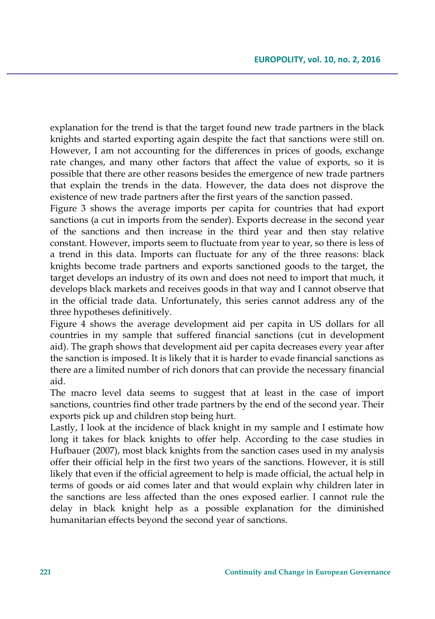explanation for the trend is that the target found new trade partners in the black knights and started exporting again despite the fact that sanctions were still on. However, I am not accounting for the differences in prices of goods, exchange rate changes, and many other factors that affect the value of exports, so it is possible that there are other reasons besides the emergence of new trade partners that explain the trends in the data. However, the data does not disprove the existence of new trade partners after the first years of the sanction passed.

Figure 3 shows the average imports per capita for countries that had export sanctions (a cut in imports from the sender). Exports decrease in the second year of the sanctions and then increase in the third year and then stay relative constant. However, imports seem to fluctuate from year to year, so there is less of a trend in this data. Imports can fluctuate for any of the three reasons: black knights become trade partners and exports sanctioned goods to the target, the target develops an industry of its own and does not need to import that much, it develops black markets and receives goods in that way and I cannot observe that in the official trade data. Unfortunately, this series cannot address any of the three hypotheses definitively.

Figure 4 shows the average development aid per capita in US dollars for all countries in my sample that suffered financial sanctions (cut in development aid). The graph shows that development aid per capita decreases every year after the sanction is imposed. It is likely that it is harder to evade financial sanctions as there are a limited number of rich donors that can provide the necessary financial aid.

The macro level data seems to suggest that at least in the case of import sanctions, countries find other trade partners by the end of the second year. Their exports pick up and children stop being hurt.

Lastly, I look at the incidence of black knight in my sample and I estimate how long it takes for black knights to offer help. According to the case studies in Hufbauer (2007), most black knights from the sanction cases used in my analysis offer their official help in the first two years of the sanctions. However, it is still likely that even if the official agreement to help is made official, the actual help in terms of goods or aid comes later and that would explain why children later in the sanctions are less affected than the ones exposed earlier. I cannot rule the delay in black knight help as a possible explanation for the diminished humanitarian effects beyond the second year of sanctions.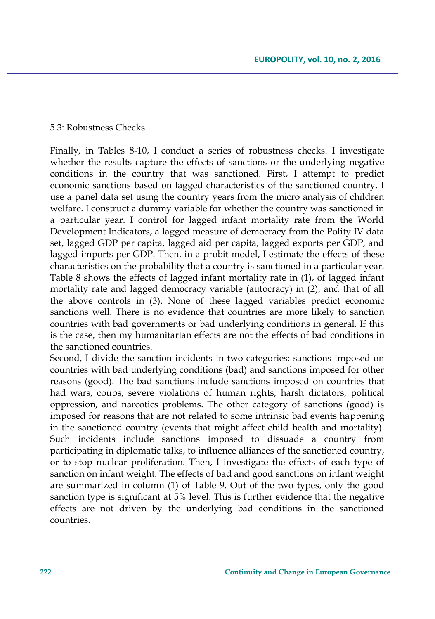#### 5.3: Robustness Checks

Finally, in Tables 8-10, I conduct a series of robustness checks. I investigate whether the results capture the effects of sanctions or the underlying negative conditions in the country that was sanctioned. First, I attempt to predict economic sanctions based on lagged characteristics of the sanctioned country. I use a panel data set using the country years from the micro analysis of children welfare. I construct a dummy variable for whether the country was sanctioned in a particular year. I control for lagged infant mortality rate from the World Development Indicators, a lagged measure of democracy from the Polity IV data set, lagged GDP per capita, lagged aid per capita, lagged exports per GDP, and lagged imports per GDP. Then, in a probit model, I estimate the effects of these characteristics on the probability that a country is sanctioned in a particular year. Table 8 shows the effects of lagged infant mortality rate in (1), of lagged infant mortality rate and lagged democracy variable (autocracy) in (2), and that of all the above controls in (3). None of these lagged variables predict economic sanctions well. There is no evidence that countries are more likely to sanction countries with bad governments or bad underlying conditions in general. If this is the case, then my humanitarian effects are not the effects of bad conditions in the sanctioned countries.

Second, I divide the sanction incidents in two categories: sanctions imposed on countries with bad underlying conditions (bad) and sanctions imposed for other reasons (good). The bad sanctions include sanctions imposed on countries that had wars, coups, severe violations of human rights, harsh dictators, political oppression, and narcotics problems. The other category of sanctions (good) is imposed for reasons that are not related to some intrinsic bad events happening in the sanctioned country (events that might affect child health and mortality). Such incidents include sanctions imposed to dissuade a country from participating in diplomatic talks, to influence alliances of the sanctioned country, or to stop nuclear proliferation. Then, I investigate the effects of each type of sanction on infant weight. The effects of bad and good sanctions on infant weight are summarized in column (1) of Table 9. Out of the two types, only the good sanction type is significant at 5% level. This is further evidence that the negative effects are not driven by the underlying bad conditions in the sanctioned countries.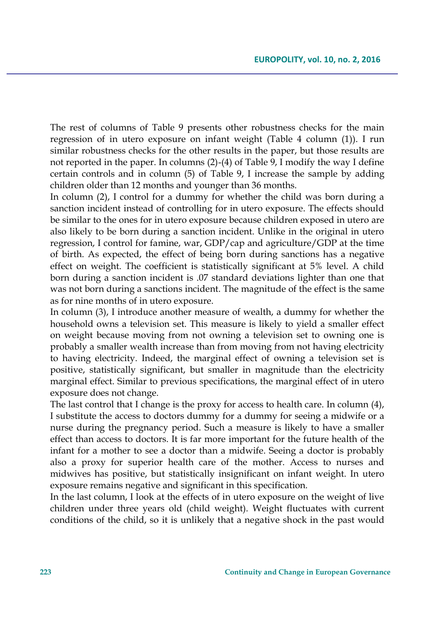The rest of columns of Table 9 presents other robustness checks for the main regression of in utero exposure on infant weight (Table 4 column (1)). I run similar robustness checks for the other results in the paper, but those results are not reported in the paper. In columns (2)-(4) of Table 9, I modify the way I define certain controls and in column (5) of Table 9, I increase the sample by adding children older than 12 months and younger than 36 months.

In column (2), I control for a dummy for whether the child was born during a sanction incident instead of controlling for in utero exposure. The effects should be similar to the ones for in utero exposure because children exposed in utero are also likely to be born during a sanction incident. Unlike in the original in utero regression, I control for famine, war, GDP/cap and agriculture/GDP at the time of birth. As expected, the effect of being born during sanctions has a negative effect on weight. The coefficient is statistically significant at 5% level. A child born during a sanction incident is .07 standard deviations lighter than one that was not born during a sanctions incident. The magnitude of the effect is the same as for nine months of in utero exposure.

In column (3), I introduce another measure of wealth, a dummy for whether the household owns a television set. This measure is likely to yield a smaller effect on weight because moving from not owning a television set to owning one is probably a smaller wealth increase than from moving from not having electricity to having electricity. Indeed, the marginal effect of owning a television set is positive, statistically significant, but smaller in magnitude than the electricity marginal effect. Similar to previous specifications, the marginal effect of in utero exposure does not change.

The last control that I change is the proxy for access to health care. In column (4), I substitute the access to doctors dummy for a dummy for seeing a midwife or a nurse during the pregnancy period. Such a measure is likely to have a smaller effect than access to doctors. It is far more important for the future health of the infant for a mother to see a doctor than a midwife. Seeing a doctor is probably also a proxy for superior health care of the mother. Access to nurses and midwives has positive, but statistically insignificant on infant weight. In utero exposure remains negative and significant in this specification.

In the last column, I look at the effects of in utero exposure on the weight of live children under three years old (child weight). Weight fluctuates with current conditions of the child, so it is unlikely that a negative shock in the past would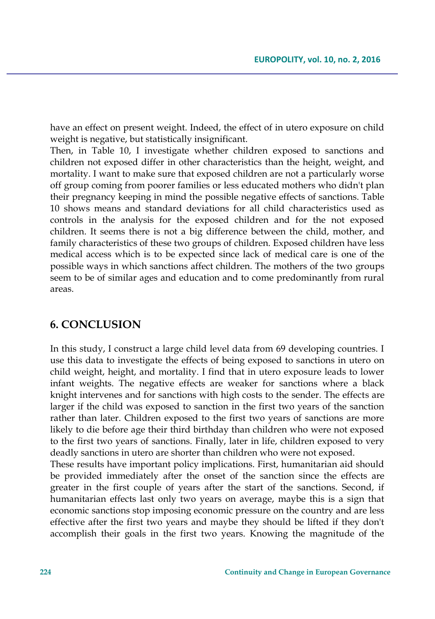have an effect on present weight. Indeed, the effect of in utero exposure on child weight is negative, but statistically insignificant.

Then, in Table 10, I investigate whether children exposed to sanctions and children not exposed differ in other characteristics than the height, weight, and mortality. I want to make sure that exposed children are not a particularly worse off group coming from poorer families or less educated mothers who didn't plan their pregnancy keeping in mind the possible negative effects of sanctions. Table 10 shows means and standard deviations for all child characteristics used as controls in the analysis for the exposed children and for the not exposed children. It seems there is not a big difference between the child, mother, and family characteristics of these two groups of children. Exposed children have less medical access which is to be expected since lack of medical care is one of the possible ways in which sanctions affect children. The mothers of the two groups seem to be of similar ages and education and to come predominantly from rural areas.

### **6. CONCLUSION**

In this study, I construct a large child level data from 69 developing countries. I use this data to investigate the effects of being exposed to sanctions in utero on child weight, height, and mortality. I find that in utero exposure leads to lower infant weights. The negative effects are weaker for sanctions where a black knight intervenes and for sanctions with high costs to the sender. The effects are larger if the child was exposed to sanction in the first two years of the sanction rather than later. Children exposed to the first two years of sanctions are more likely to die before age their third birthday than children who were not exposed to the first two years of sanctions. Finally, later in life, children exposed to very deadly sanctions in utero are shorter than children who were not exposed.

These results have important policy implications. First, humanitarian aid should be provided immediately after the onset of the sanction since the effects are greater in the first couple of years after the start of the sanctions. Second, if humanitarian effects last only two years on average, maybe this is a sign that economic sanctions stop imposing economic pressure on the country and are less effective after the first two years and maybe they should be lifted if they don't accomplish their goals in the first two years. Knowing the magnitude of the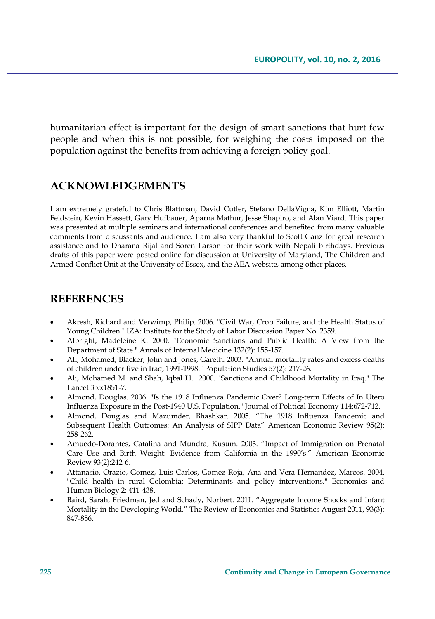humanitarian effect is important for the design of smart sanctions that hurt few people and when this is not possible, for weighing the costs imposed on the population against the benefits from achieving a foreign policy goal.

### **ACKNOWLEDGEMENTS**

I am extremely grateful to Chris Blattman, David Cutler, Stefano DellaVigna, Kim Elliott, Martin Feldstein, Kevin Hassett, Gary Hufbauer, Aparna Mathur, Jesse Shapiro, and Alan Viard. This paper was presented at multiple seminars and international conferences and benefited from many valuable comments from discussants and audience. I am also very thankful to Scott Ganz for great research assistance and to Dharana Rijal and Soren Larson for their work with Nepali birthdays. Previous drafts of this paper were posted online for discussion at University of Maryland, The Children and Armed Conflict Unit at the University of Essex, and the AEA website, among other places.

## **REFERENCES**

- Akresh, Richard and Verwimp, Philip. 2006. "Civil War, Crop Failure, and the Health Status of Young Children." IZA: Institute for the Study of Labor Discussion Paper No. 2359.
- Albright, Madeleine K. 2000. "Economic Sanctions and Public Health: A View from the Department of State." Annals of Internal Medicine 132(2): 155-157.
- Ali, Mohamed, Blacker, John and Jones, Gareth. 2003. "Annual mortality rates and excess deaths of children under five in Iraq, 1991-1998." Population Studies 57(2): 217-26.
- Ali, Mohamed M. and Shah, Iqbal H. 2000. "Sanctions and Childhood Mortality in Iraq." The Lancet 355:1851-7.
- Almond, Douglas. 2006. "Is the 1918 Influenza Pandemic Over? Long-term Effects of In Utero Influenza Exposure in the Post-1940 U.S. Population." Journal of Political Economy 114:672-712.
- Almond, Douglas and Mazumder, Bhashkar. 2005. "The 1918 Influenza Pandemic and Subsequent Health Outcomes: An Analysis of SIPP Data" American Economic Review 95(2): 258-262.
- Amuedo-Dorantes, Catalina and Mundra, Kusum. 2003. "Impact of Immigration on Prenatal Care Use and Birth Weight: Evidence from California in the 1990's." American Economic Review 93(2):242-6.
- Attanasio, Orazio, Gomez, Luis Carlos, Gomez Roja, Ana and Vera-Hernandez, Marcos. 2004. "Child health in rural Colombia: Determinants and policy interventions." Economics and Human Biology 2: 411-438.
- Baird, Sarah, Friedman, Jed and Schady, Norbert. 2011. "Aggregate Income Shocks and Infant Mortality in the Developing World." The Review of Economics and Statistics August 2011, 93(3): 847-856.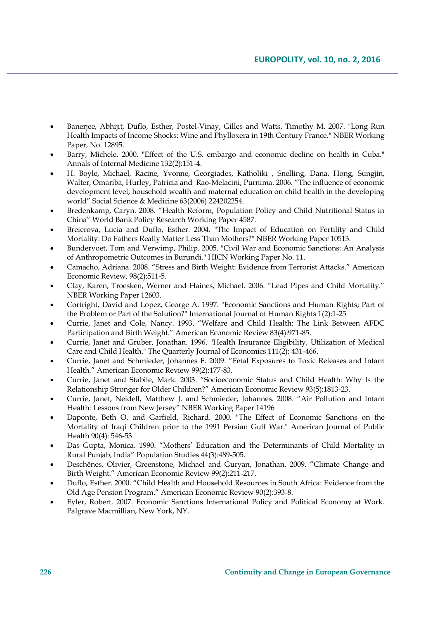- Banerjee, Abhijit, Duflo, Esther, Postel-Vinay, Gilles and Watts, Timothy M. 2007. "Long Run Health Impacts of Income Shocks: Wine and Phylloxera in 19th Century France." NBER Working Paper, No. 12895.
- Barry, Michele. 2000. "Effect of the U.S. embargo and economic decline on health in Cuba." Annals of Internal Medicine 132(2):151-4.
- H. Boyle, Michael, Racine, Yvonne, Georgiades, Katholiki , Snelling, Dana, Hong, Sungjin, Walter, Omariba, Hurley, Patricia and Rao-Melacini, Purnima. 2006. "The influence of economic development level, household wealth and maternal education on child health in the developing world" Social Science & Medicine 63(2006) 224202254.
- Bredenkamp, Caryn. 2008. "Health Reform, Population Policy and Child Nutritional Status in China" World Bank Policy Research Working Paper 4587.
- Breierova, Lucia and Duflo, Esther. 2004. "The Impact of Education on Fertility and Child Mortality: Do Fathers Really Matter Less Than Mothers?" NBER Working Paper 10513.
- Bundervoet, Tom and Verwimp, Philip. 2005. "Civil War and Economic Sanctions: An Analysis of Anthropometric Outcomes in Burundi." HICN Working Paper No. 11.
- Camacho, Adriana. 2008. "Stress and Birth Weight: Evidence from Terrorist Attacks." American Economic Review, 98(2):511-5.
- Clay, Karen, Troesken, Werner and Haines, Michael. 2006. "Lead Pipes and Child Mortality." NBER Working Paper 12603.
- Cortright, David and Lopez, George A. 1997. "Economic Sanctions and Human Rights; Part of the Problem or Part of the Solution?" International Journal of Human Rights 1(2):1-25
- Currie, Janet and Cole, Nancy. 1993. "Welfare and Child Health: The Link Between AFDC Participation and Birth Weight." American Economic Review 83(4):971-85.
- Currie, Janet and Gruber, Jonathan. 1996. "Health Insurance Eligibility, Utilization of Medical Care and Child Health." The Quarterly Journal of Economics 111(2): 431-466.
- Currie, Janet and Schmieder, Johannes F. 2009. "Fetal Exposures to Toxic Releases and Infant Health." American Economic Review 99(2):177-83.
- Currie, Janet and Stabile, Mark. 2003. "Socioeconomic Status and Child Health: Why Is the Relationship Stronger for Older Children?" American Economic Review 93(5):1813-23.
- Currie, Janet, Neidell, Matthew J. and Schmieder, Johannes. 2008. "Air Pollution and Infant Health: Lessons from New Jersey" NBER Working Paper 14196
- Daponte, Beth O. and Garfield, Richard. 2000. "The Effect of Economic Sanctions on the Mortality of Iraqi Children prior to the 1991 Persian Gulf War." American Journal of Public Health 90(4): 546-53.
- Das Gupta, Monica. 1990. "Mothers' Education and the Determinants of Child Mortality in Rural Punjab, India" Population Studies 44(3):489-505.
- Deschênes, Olivier, Greenstone, Michael and Guryan, Jonathan. 2009. "Climate Change and Birth Weight." American Economic Review 99(2):211-217.
- Duflo, Esther. 2000. "Child Health and Household Resources in South Africa: Evidence from the Old Age Pension Program." American Economic Review 90(2):393-8.
- Eyler, Robert. 2007. Economic Sanctions International Policy and Political Economy at Work. Palgrave Macmillian, New York, NY.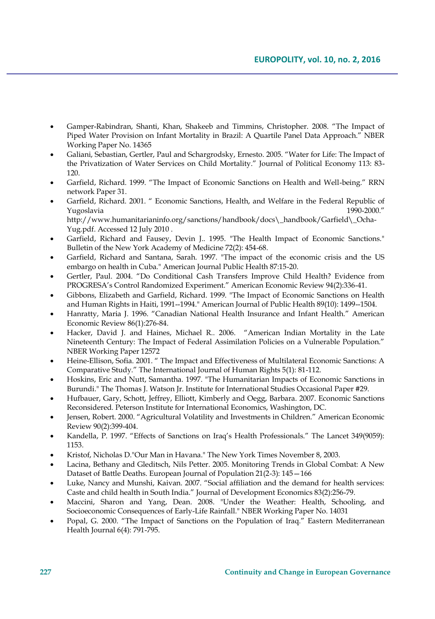- Gamper-Rabindran, Shanti, Khan, Shakeeb and Timmins, Christopher. 2008. "The Impact of Piped Water Provision on Infant Mortality in Brazil: A Quartile Panel Data Approach." NBER Working Paper No. 14365
- Galiani, Sebastian, Gertler, Paul and Schargrodsky, Ernesto. 2005. "Water for Life: The Impact of the Privatization of Water Services on Child Mortality." Journal of Political Economy 113: 83- 120.
- Garfield, Richard. 1999. "The Impact of Economic Sanctions on Health and Well-being." RRN network Paper 31.
- Garfield, Richard. 2001. " Economic Sanctions, Health, and Welfare in the Federal Republic of Yugoslavia 1990-2000." http://www.humanitarianinfo.org/sanctions/handbook/docs\\_handbook/Garfield\\_Ocha-Yug.pdf. Accessed 12 July 2010 .
- Garfield, Richard and Fausey, Devin J.. 1995. "The Health Impact of Economic Sanctions." Bulletin of the New York Academy of Medicine 72(2): 454-68.
- Garfield, Richard and Santana, Sarah. 1997. "The impact of the economic crisis and the US embargo on health in Cuba." American Journal Public Health 87:15-20.
- Gertler, Paul. 2004. "Do Conditional Cash Transfers Improve Child Health? Evidence from PROGRESA's Control Randomized Experiment." American Economic Review 94(2):336-41.
- Gibbons, Elizabeth and Garfield, Richard. 1999. "The Impact of Economic Sanctions on Health and Human Rights in Haiti, 1991--1994." American Journal of Public Health 89(10): 1499--1504.
- Hanratty, Maria J. 1996. "Canadian National Health Insurance and Infant Health." American Economic Review 86(1):276-84.
- Hacker, David J. and Haines, Michael R.. 2006. "American Indian Mortality in the Late Nineteenth Century: The Impact of Federal Assimilation Policies on a Vulnerable Population." NBER Working Paper 12572
- Heine-Ellison, Sofia. 2001. " The Impact and Effectiveness of Multilateral Economic Sanctions: A Comparative Study." The International Journal of Human Rights 5(1): 81-112.
- Hoskins, Eric and Nutt, Samantha. 1997. "The Humanitarian Impacts of Economic Sanctions in Burundi." The Thomas J. Watson Jr. Institute for International Studies Occasional Paper #29.
- Hufbauer, Gary, Schott, Jeffrey, Elliott, Kimberly and Oegg, Barbara. 2007. Economic Sanctions Reconsidered. Peterson Institute for International Economics, Washington, DC.
- Jensen, Robert. 2000. "Agricultural Volatility and Investments in Children." American Economic Review 90(2):399-404.
- Kandella, P. 1997. "Effects of Sanctions on Iraq's Health Professionals." The Lancet 349(9059): 1153.
- Kristof, Nicholas D."Our Man in Havana." The New York Times November 8, 2003.
- Lacina, Bethany and Gleditsch, Nils Petter. 2005. Monitoring Trends in Global Combat: A New Dataset of Battle Deaths. European Journal of Population 21(2-3): 145—166
- Luke, Nancy and Munshi, Kaivan. 2007. "Social affiliation and the demand for health services: Caste and child health in South India." Journal of Development Economics 83(2):256-79.
- Maccini, Sharon and Yang, Dean. 2008. "Under the Weather: Health, Schooling, and Socioeconomic Consequences of Early-Life Rainfall." NBER Working Paper No. 14031
- Popal, G. 2000. "The Impact of Sanctions on the Population of Iraq." Eastern Mediterranean Health Journal 6(4): 791-795.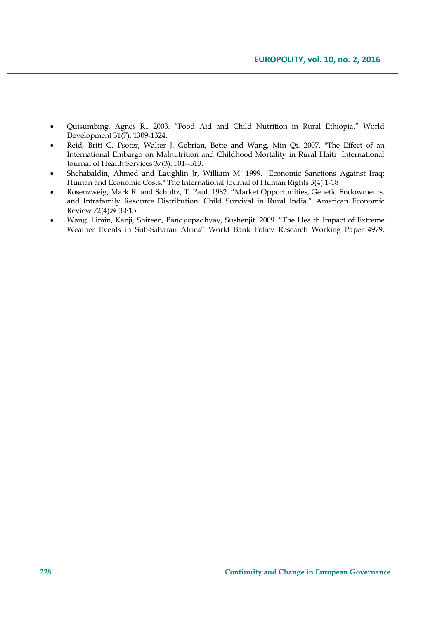- Quisumbing, Agnes R.. 2003. "Food Aid and Child Nutrition in Rural Ethiopia." World Development 31(7): 1309-1324.
- Reid, Britt C. Psoter, Walter J. Gebrian, Bette and Wang, Min Qi. 2007. "The Effect of an International Embargo on Malnutrition and Childhood Mortality in Rural Haiti" International Journal of Health Services 37(3): 501--513.
- Shehabaldin, Ahmed and Laughlin Jr, William M. 1999. "Economic Sanctions Against Iraq: Human and Economic Costs." The International Journal of Human Rights 3(4):1-18
- Rosenzweig, Mark R. and Schultz, T. Paul. 1982. "Market Opportunities, Genetic Endowments, and Intrafamily Resource Distribution: Child Survival in Rural India." American Economic Review 72(4):803-815.
- Wang, Limin, Kanji, Shireen, Bandyopadhyay, Sushenjit. 2009. "The Health Impact of Extreme Weather Events in Sub-Saharan Africa" World Bank Policy Research Working Paper 4979.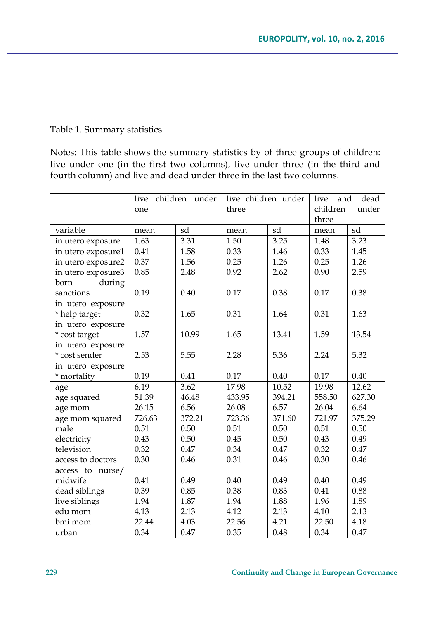### Table 1. Summary statistics

Notes: This table shows the summary statistics by of three groups of children: live under one (in the first two columns), live under three (in the third and fourth column) and live and dead under three in the last two columns.

|                    | live children under<br>one |        | live children under<br>three |        | dead<br>live<br>and<br>children<br>under |        |  |
|--------------------|----------------------------|--------|------------------------------|--------|------------------------------------------|--------|--|
|                    |                            |        |                              |        | three                                    |        |  |
| variable           | mean                       | sd     | mean                         | sd     | mean                                     | sd     |  |
| in utero exposure  | 1.63                       | 3.31   | 1.50                         | 3.25   | 1.48                                     | 3.23   |  |
| in utero exposure1 | 0.41                       | 1.58   | 0.33                         | 1.46   | 0.33                                     | 1.45   |  |
| in utero exposure2 | 0.37                       | 1.56   | 0.25                         | 1.26   | 0.25                                     | 1.26   |  |
| in utero exposure3 | 0.85                       | 2.48   | 0.92                         | 2.62   | 0.90                                     | 2.59   |  |
| during<br>born     |                            |        |                              |        |                                          |        |  |
| sanctions          | 0.19                       | 0.40   | 0.17                         | 0.38   | 0.17                                     | 0.38   |  |
| in utero exposure  |                            |        |                              |        |                                          |        |  |
| * help target      | 0.32                       | 1.65   | 0.31                         | 1.64   | 0.31                                     | 1.63   |  |
| in utero exposure  |                            |        |                              |        |                                          |        |  |
| * cost target      | 1.57                       | 10.99  | 1.65                         | 13.41  | 1.59                                     | 13.54  |  |
| in utero exposure  |                            |        |                              |        |                                          |        |  |
| * cost sender      | 2.53                       | 5.55   | 2.28                         | 5.36   | 2.24                                     | 5.32   |  |
| in utero exposure  |                            |        |                              |        |                                          |        |  |
| * mortality        | 0.19                       | 0.41   | 0.17                         | 0.40   | 0.17                                     | 0.40   |  |
| age                | 6.19                       | 3.62   | 17.98                        | 10.52  | 19.98                                    | 12.62  |  |
| age squared        | 51.39                      | 46.48  | 433.95                       | 394.21 | 558.50                                   | 627.30 |  |
| age mom            | 26.15                      | 6.56   | 26.08                        | 6.57   | 26.04                                    | 6.64   |  |
| age mom squared    | 726.63                     | 372.21 | 723.36                       | 371.60 | 721.97                                   | 375.29 |  |
| male               | 0.51                       | 0.50   | 0.51                         | 0.50   | 0.51                                     | 0.50   |  |
| electricity        | 0.43                       | 0.50   | 0.45                         | 0.50   | 0.43                                     | 0.49   |  |
| television         | 0.32                       | 0.47   | 0.34                         | 0.47   | 0.32                                     | 0.47   |  |
| access to doctors  | 0.30                       | 0.46   | 0.31                         | 0.46   | 0.30                                     | 0.46   |  |
| access to nurse/   |                            |        |                              |        |                                          |        |  |
| midwife            | 0.41                       | 0.49   | 0.40                         | 0.49   | 0.40                                     | 0.49   |  |
| dead siblings      | 0.39                       | 0.85   | 0.38                         | 0.83   | 0.41                                     | 0.88   |  |
| live siblings      | 1.94                       | 1.87   | 1.94                         | 1.88   | 1.96                                     | 1.89   |  |
| edu mom            | 4.13                       | 2.13   | 4.12                         | 2.13   | 4.10                                     | 2.13   |  |
| bmi mom            | 22.44                      | 4.03   | 22.56                        | 4.21   | 22.50                                    | 4.18   |  |
| urban              | 0.34                       | 0.47   | 0.35                         | 0.48   | 0.34                                     | 0.47   |  |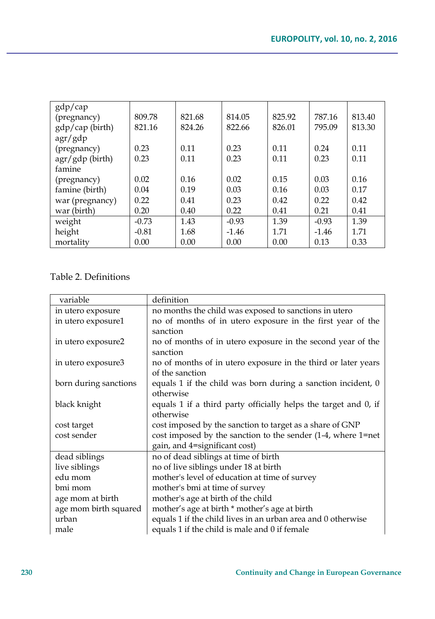| gdp/cap                  |         |        |         |        |         |        |
|--------------------------|---------|--------|---------|--------|---------|--------|
| (pregnancy)              | 809.78  | 821.68 | 814.05  | 825.92 | 787.16  | 813.40 |
| gdp/cap (birth)          | 821.16  | 824.26 | 822.66  | 826.01 | 795.09  | 813.30 |
| $\frac{agr}{\gamma}$ gdp |         |        |         |        |         |        |
| (pregnancy)              | 0.23    | 0.11   | 0.23    | 0.11   | 0.24    | 0.11   |
| agr/gdp (birth)          | 0.23    | 0.11   | 0.23    | 0.11   | 0.23    | 0.11   |
| famine                   |         |        |         |        |         |        |
| (pregnancy)              | 0.02    | 0.16   | 0.02    | 0.15   | 0.03    | 0.16   |
| famine (birth)           | 0.04    | 0.19   | 0.03    | 0.16   | 0.03    | 0.17   |
| war (pregnancy)          | 0.22    | 0.41   | 0.23    | 0.42   | 0.22    | 0.42   |
| war (birth)              | 0.20    | 0.40   | 0.22    | 0.41   | 0.21    | 0.41   |
| weight                   | $-0.73$ | 1.43   | $-0.93$ | 1.39   | $-0.93$ | 1.39   |
| height                   | $-0.81$ | 1.68   | $-1.46$ | 1.71   | $-1.46$ | 1.71   |
| mortality                | 0.00    | 0.00   | 0.00    | 0.00   | 0.13    | 0.33   |

## Table 2. Definitions

| variable              | definition                                                      |
|-----------------------|-----------------------------------------------------------------|
| in utero exposure     | no months the child was exposed to sanctions in utero           |
| in utero exposure1    | no of months of in utero exposure in the first year of the      |
|                       | sanction                                                        |
| in utero exposure2    | no of months of in utero exposure in the second year of the     |
|                       | sanction                                                        |
| in utero exposure3    | no of months of in utero exposure in the third or later years   |
|                       | of the sanction                                                 |
| born during sanctions | equals 1 if the child was born during a sanction incident, 0    |
|                       | otherwise                                                       |
| black knight          | equals 1 if a third party officially helps the target and 0, if |
|                       | otherwise                                                       |
| cost target           | cost imposed by the sanction to target as a share of GNP        |
| cost sender           | cost imposed by the sanction to the sender (1-4, where 1=net    |
|                       | gain, and 4=significant cost)                                   |
| dead siblings         | no of dead siblings at time of birth                            |
| live siblings         | no of live siblings under 18 at birth                           |
| edu mom               | mother's level of education at time of survey                   |
| bmi mom               | mother's bmi at time of survey                                  |
| age mom at birth      | mother's age at birth of the child                              |
| age mom birth squared | mother's age at birth * mother's age at birth                   |
| urban                 | equals 1 if the child lives in an urban area and 0 otherwise    |
| male                  | equals 1 if the child is male and 0 if female                   |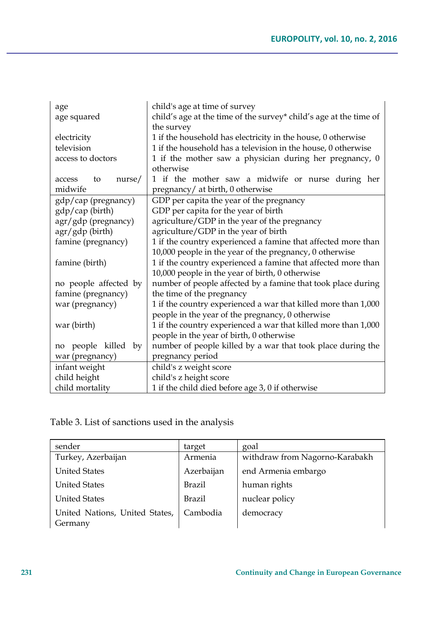| age                    | child's age at time of survey                                     |
|------------------------|-------------------------------------------------------------------|
| age squared            | child's age at the time of the survey* child's age at the time of |
|                        | the survey                                                        |
| electricity            | 1 if the household has electricity in the house, 0 otherwise      |
| television             | 1 if the household has a television in the house, 0 otherwise     |
| access to doctors      | 1 if the mother saw a physician during her pregnancy, 0           |
|                        | otherwise                                                         |
| nurse/<br>to<br>access | 1 if the mother saw a midwife or nurse during her                 |
| midwife                | pregnancy/ at birth, 0 otherwise                                  |
| gdp/cap (pregnancy)    | GDP per capita the year of the pregnancy                          |
| gdp/cap (birth)        | GDP per capita for the year of birth                              |
| agr/gdp (pregnancy)    | agriculture/GDP in the year of the pregnancy                      |
| agr/gdp (birth)        | agriculture/GDP in the year of birth                              |
| famine (pregnancy)     | 1 if the country experienced a famine that affected more than     |
|                        | 10,000 people in the year of the pregnancy, 0 otherwise           |
| famine (birth)         | 1 if the country experienced a famine that affected more than     |
|                        | 10,000 people in the year of birth, 0 otherwise                   |
| no people affected by  | number of people affected by a famine that took place during      |
| famine (pregnancy)     | the time of the pregnancy                                         |
| war (pregnancy)        | 1 if the country experienced a war that killed more than 1,000    |
|                        | people in the year of the pregnancy, 0 otherwise                  |
| war (birth)            | 1 if the country experienced a war that killed more than 1,000    |
|                        | people in the year of birth, 0 otherwise                          |
| people killed by<br>no | number of people killed by a war that took place during the       |
| war (pregnancy)        | pregnancy period                                                  |
| infant weight          | child's z weight score                                            |
| child height           | child's z height score                                            |
| child mortality        | 1 if the child died before age 3, 0 if otherwise                  |

# Table 3. List of sanctions used in the analysis

| sender                                    | target     | goal                           |
|-------------------------------------------|------------|--------------------------------|
| Turkey, Azerbaijan                        | Armenia    | withdraw from Nagorno-Karabakh |
| <b>United States</b>                      | Azerbaijan | end Armenia embargo            |
| <b>United States</b>                      | Brazil     | human rights                   |
| <b>United States</b>                      | Brazil     | nuclear policy                 |
| United Nations, United States,<br>Germany | Cambodia   | democracy                      |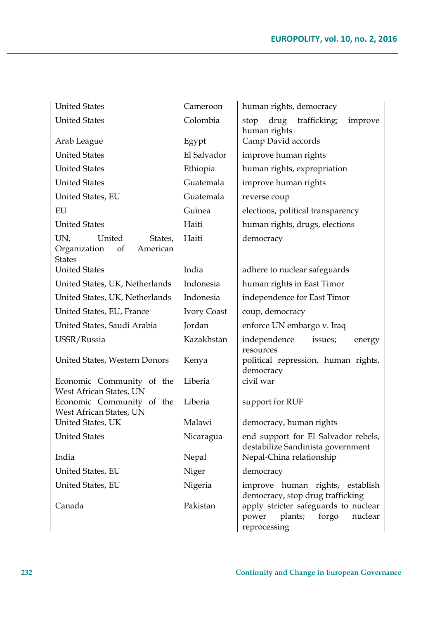| <b>United States</b>                                                        | Cameroon    | human rights, democracy                                                                      |  |  |
|-----------------------------------------------------------------------------|-------------|----------------------------------------------------------------------------------------------|--|--|
| <b>United States</b>                                                        | Colombia    | drug<br>trafficking;<br>improve<br>stop<br>human rights                                      |  |  |
| Arab League                                                                 | Egypt       | Camp David accords                                                                           |  |  |
| <b>United States</b>                                                        | El Salvador | improve human rights                                                                         |  |  |
| <b>United States</b>                                                        | Ethiopia    | human rights, expropriation                                                                  |  |  |
| <b>United States</b>                                                        | Guatemala   | improve human rights                                                                         |  |  |
| United States, EU                                                           | Guatemala   | reverse coup                                                                                 |  |  |
| EU                                                                          | Guinea      | elections, political transparency                                                            |  |  |
| <b>United States</b>                                                        | Haiti       | human rights, drugs, elections                                                               |  |  |
| UN,<br>United<br>States,<br>of<br>American<br>Organization<br><b>States</b> | Haiti       | democracy                                                                                    |  |  |
| <b>United States</b>                                                        | India       | adhere to nuclear safeguards                                                                 |  |  |
| United States, UK, Netherlands                                              | Indonesia   | human rights in East Timor                                                                   |  |  |
| United States, UK, Netherlands                                              | Indonesia   | independence for East Timor                                                                  |  |  |
| United States, EU, France                                                   | Ivory Coast | coup, democracy                                                                              |  |  |
| United States, Saudi Arabia                                                 | Jordan      | enforce UN embargo v. Iraq                                                                   |  |  |
| USSR/Russia                                                                 | Kazakhstan  | independence<br>issues;<br>energy<br>resources                                               |  |  |
| United States, Western Donors                                               | Kenya       | political repression, human rights,<br>democracy                                             |  |  |
| Economic Community of the<br>West African States, UN                        | Liberia     | civil war                                                                                    |  |  |
| Economic Community of the<br>West African States, UN                        | Liberia     | support for RUF                                                                              |  |  |
| United States, UK                                                           | Malawi      | democracy, human rights                                                                      |  |  |
| <b>United States</b>                                                        | Nicaragua   | end support for El Salvador rebels,<br>destabilize Sandinista government                     |  |  |
| India                                                                       | Nepal       | Nepal-China relationship                                                                     |  |  |
| United States, EU                                                           | Niger       | democracy                                                                                    |  |  |
| United States, EU                                                           | Nigeria     | improve human rights, establish<br>democracy, stop drug trafficking                          |  |  |
| Canada                                                                      | Pakistan    | apply stricter safeguards to nuclear<br>power<br>plants;<br>forgo<br>nuclear<br>reprocessing |  |  |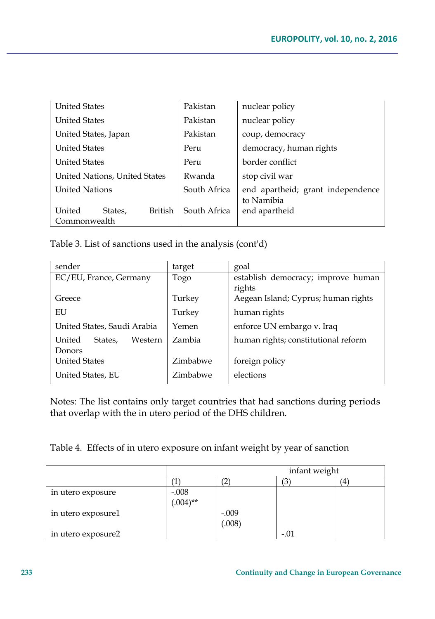| <b>United States</b>          |         | Pakistan     | nuclear policy                    |
|-------------------------------|---------|--------------|-----------------------------------|
| <b>United States</b>          |         |              | nuclear policy                    |
| United States, Japan          |         | Pakistan     | coup, democracy                   |
| <b>United States</b>          |         | Peru         | democracy, human rights           |
| <b>United States</b>          |         | Peru         | border conflict                   |
| United Nations, United States |         | Rwanda       | stop civil war                    |
| <b>United Nations</b>         |         | South Africa | end apartheid; grant independence |
|                               |         |              | to Namibia                        |
| United<br>States,             | British | South Africa | end apartheid                     |
| Commonwealth                  |         |              |                                   |

Table 3. List of sanctions used in the analysis (cont'd)

| sender                       | target   | goal                                |
|------------------------------|----------|-------------------------------------|
| EC/EU, France, Germany       | Togo     | establish democracy; improve human  |
|                              |          | rights                              |
| Greece                       | Turkey   | Aegean Island; Cyprus; human rights |
| EU                           | Turkey   | human rights                        |
| United States, Saudi Arabia  | Yemen    | enforce UN embargo v. Iraq          |
| Western<br>United<br>States. | Zambia   | human rights; constitutional reform |
| Donors                       |          |                                     |
| <b>United States</b>         | Zimbabwe | foreign policy                      |
| United States, EU            | Zimbabwe | elections                           |

Notes: The list contains only target countries that had sanctions during periods that overlap with the in utero period of the DHS children.

Table 4. Effects of in utero exposure on infant weight by year of sanction

|                    | infant weight           |         |        |    |
|--------------------|-------------------------|---------|--------|----|
|                    |                         |         | 3      | (4 |
| in utero exposure  | $-0.008$<br>$(.004)$ ** |         |        |    |
|                    |                         |         |        |    |
| in utero exposure1 |                         | $-.009$ |        |    |
|                    |                         | (.008)  |        |    |
| in utero exposure2 |                         |         | $-.01$ |    |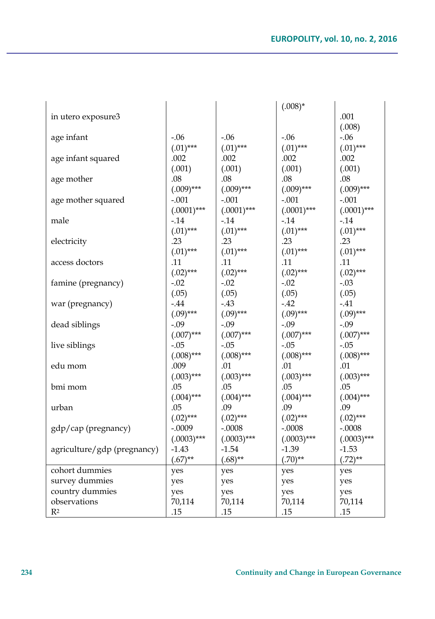|                             |               |               | $(.008)*$     |               |
|-----------------------------|---------------|---------------|---------------|---------------|
| in utero exposure3          |               |               |               | .001          |
|                             |               |               |               | (.008)        |
| age infant                  | $-.06$        | $-.06$        | $-.06$        | $-.06$        |
|                             | $(.01)$ ***   | $(.01)$ ***   | $(.01)$ ***   | $(.01)$ ***   |
| age infant squared          | .002          | .002          | .002          | .002          |
|                             | (.001)        | (.001)        | (.001)        | (.001)        |
| age mother                  | .08           | $.08\,$       | $.08\,$       | .08           |
|                             | $(.009)$ ***  | $(.009)$ ***  | $(.009)$ ***  | $(.009)$ ***  |
| age mother squared          | $-.001$       | $-.001$       | $-.001$       | $-.001$       |
|                             | $(.0001)$ *** | $(.0001)$ *** | $(.0001)$ *** | $(.0001)$ *** |
| male                        | $-0.14$       | $-14$         | $-0.14$       | $-0.14$       |
|                             | $(.01)$ ***   | $(.01)$ ***   | $(.01)$ ***   | $(.01)$ ***   |
| electricity                 | .23           | .23           | .23           | .23           |
|                             | $(.01)$ ***   | $(.01)$ ***   | $(.01)$ ***   | $(.01)$ ***   |
| access doctors              | .11           | .11           | .11           | .11           |
|                             | $(.02)$ ***   | $(.02)$ ***   | $(.02)$ ***   | $(.02)$ ***   |
| famine (pregnancy)          | $-.02$        | $-.02$        | $-.02$        | $-.03$        |
|                             | (.05)         | (.05)         | (.05)         | (.05)         |
|                             | $-.44$        | $-.43$        | $-.42$        | $-.41$        |
| war (pregnancy)             |               | $(.09)$ ***   |               | $(.09)$ ***   |
|                             | $(.09)$ ***   |               | $(.09)$ ***   |               |
| dead siblings               | $-.09$        | $-.09$        | $-.09$        | $-.09$        |
|                             | $(.007)$ ***  | $(.007)$ ***  | $(.007)$ ***  | $(.007)$ ***  |
| live siblings               | $-.05$        | $-.05$        | $-.05$        | $-.05$        |
|                             | $(.008)$ ***  | $(.008)$ ***  | $(.008)$ ***  | $(.008)$ ***  |
| edu mom                     | .009          | .01           | $.01\,$       | .01           |
|                             | $(.003)$ ***  | $(.003)***$   | $(.003)$ ***  | $(.003)$ ***  |
| bmi mom                     | .05           | .05           | .05           | .05           |
|                             | $(.004)$ ***  | $(.004)$ ***  | $(.004)$ ***  | $(.004)$ ***  |
| urban                       | .05           | .09           | .09           | .09           |
|                             | $(.02)$ ***   | $(.02)$ ***   | $(.02)$ ***   | $(.02)$ ***   |
| gdp/cap (pregnancy)         | $-.0009$      | $-.0008$      | $-.0008$      | $-.0008$      |
|                             | $(.0003)$ *** | $(.0003)$ *** | $(.0003)$ *** | $(.0003)$ *** |
| agriculture/gdp (pregnancy) | $-1.43$       | $-1.54$       | $-1.39$       | $-1.53$       |
|                             | $(.67)$ **    | $(.68)$ **    | $(.70)$ **    | $(.72)$ **    |
| cohort dummies              | yes           | yes           | yes           | yes           |
| survey dummies              | yes           | yes           | yes           | yes           |
| country dummies             | yes           | yes           | yes           | yes           |
| observations                | 70,114        | 70,114        | 70,114        | 70,114        |
| R <sup>2</sup>              | .15           | .15           | .15           | .15           |

 $\overline{\mathbf{I}}$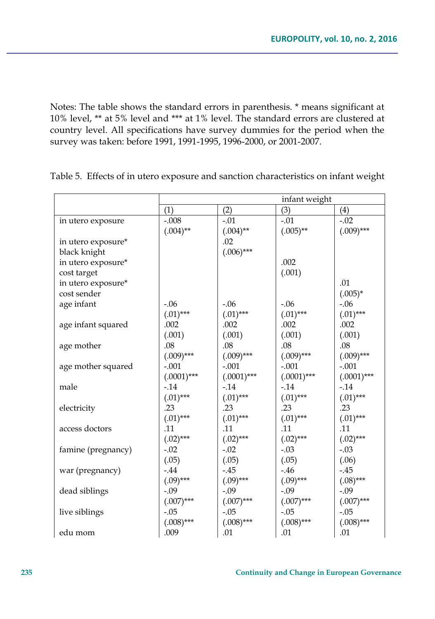Notes: The table shows the standard errors in parenthesis. \* means significant at 10% level, \*\* at 5% level and \*\*\* at 1% level. The standard errors are clustered at country level. All specifications have survey dummies for the period when the survey was taken: before 1991, 1991-1995, 1996-2000, or 2001-2007.

|                    | infant weight |              |               |               |  |
|--------------------|---------------|--------------|---------------|---------------|--|
|                    | (1)           | (2)          | (3)           | (4)           |  |
| in utero exposure  | $-.008$       | $-.01$       | $-.01$        | $-.02$        |  |
|                    | $(.004)$ **   | $(.004)$ **  | $(.005)$ **   | $(.009)$ ***  |  |
| in utero exposure* |               | .02          |               |               |  |
| black knight       |               | $(.006)$ *** |               |               |  |
| in utero exposure* |               |              | .002          |               |  |
| cost target        |               |              | (.001)        |               |  |
| in utero exposure* |               |              |               | .01           |  |
| cost sender        |               |              |               | $(.005)^*$    |  |
| age infant         | $-0.06$       | $-0.06$      | $-0.06$       | $-0.06$       |  |
|                    | $(.01)$ ***   | $(.01)$ ***  | $(.01)$ ***   | $(.01)$ ***   |  |
| age infant squared | .002          | .002         | .002          | .002          |  |
|                    | (.001)        | (.001)       | (.001)        | (.001)        |  |
| age mother         | .08           | .08          | .08           | .08           |  |
|                    | $(.009)$ ***  | $(.009)$ *** | $(.009)$ ***  | $(.009)$ ***  |  |
| age mother squared | $-.001$       | $-.001$      | $-.001$       | $-.001$       |  |
|                    | $(.0001)***$  | $(.0001)***$ | $(.0001)$ *** | $(.0001)$ *** |  |
| male               | $-0.14$       | $-.14$       | $-0.14$       | $-.14$        |  |
|                    | $(.01)$ ***   | $(.01)$ ***  | $(.01)$ ***   | $(.01)$ ***   |  |
| electricity        | .23           | .23          | .23           | .23           |  |
|                    | $(.01)$ ***   | $(.01)$ ***  | $(.01)$ ***   | $(.01)$ ***   |  |
| access doctors     | .11           | .11          | .11           | .11           |  |
|                    | $(.02)$ ***   | $(.02)$ ***  | $(.02)$ ***   | $(.02)$ ***   |  |
| famine (pregnancy) | $-.02$        | $-.02$       | $-.03$        | $-.03$        |  |
|                    | (.05)         | (.05)        | (.05)         | (.06)         |  |
| war (pregnancy)    | $-0.44$       | $-.45$       | $-0.46$       | $-.45$        |  |
|                    | $(.09)$ ***   | $(.09)$ ***  | $(.09)$ ***   | $(.08)$ ***   |  |
| dead siblings      | $-.09$        | $-.09$       | $-.09$        | $-.09$        |  |
|                    | $(.007)$ ***  | $(.007)$ *** | $(.007)$ ***  | $(.007)$ ***  |  |
| live siblings      | $-.05$        | $-.05$       | $-.05$        | $-.05$        |  |
|                    | $(.008)$ ***  | $(.008)$ *** | $(.008)$ ***  | $(.008)$ ***  |  |
| edu mom            | .009          | .01          | .01           | .01           |  |

Table 5. Effects of in utero exposure and sanction characteristics on infant weight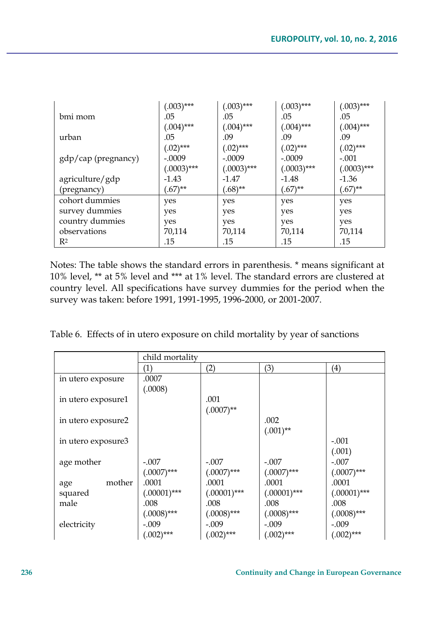|                     | $(.003)$ ***  | $(.003)$ ***  | $(.003)$ ***  | $(.003)$ ***  |
|---------------------|---------------|---------------|---------------|---------------|
| bmi mom             | .05           | .05           | .05           | .05           |
|                     | $(.004)$ ***  | $(.004)$ ***  | $(.004)$ ***  | $(.004)$ ***  |
| urban               | .05           | .09           | .09           | .09           |
|                     | $(.02)$ ***   | $(.02)$ ***   | $(.02)$ ***   | $(.02)$ ***   |
| gdp/cap (pregnancy) | $-.0009$      | $-.0009$      | $-.0009$      | $-.001$       |
|                     | $(.0003)$ *** | $(.0003)$ *** | $(.0003)$ *** | $(.0003)$ *** |
| agriculture/gdp     | $-1.43$       | $-1.47$       | $-1.48$       | $-1.36$       |
| (pregnancy)         | $(.67)$ **    | $(.68)$ **    | $(.67)$ **    | $(.67)$ **    |
| cohort dummies      | yes           | yes           | yes           | yes           |
| survey dummies      | yes           | yes           | yes           | yes           |
| country dummies     | yes           | yes           | yes           | yes           |
| observations        | 70,114        | 70,114        | 70,114        | 70,114        |
| R2                  | .15           | .15           | .15           | .15           |

Notes: The table shows the standard errors in parenthesis. \* means significant at 10% level, \*\* at 5% level and \*\*\* at 1% level. The standard errors are clustered at country level. All specifications have survey dummies for the period when the survey was taken: before 1991, 1991-1995, 1996-2000, or 2001-2007.

Table 6. Effects of in utero exposure on child mortality by year of sanctions

|                    | child mortality |                |                |                   |  |  |
|--------------------|-----------------|----------------|----------------|-------------------|--|--|
|                    | (1)             | (2)            | (3)            | $\left( 4\right)$ |  |  |
| in utero exposure  | .0007           |                |                |                   |  |  |
|                    | (.0008)         |                |                |                   |  |  |
| in utero exposure1 |                 | .001           |                |                   |  |  |
|                    |                 | $(.0007)$ **   |                |                   |  |  |
| in utero exposure2 |                 |                | .002           |                   |  |  |
|                    |                 |                | $(.001)$ **    |                   |  |  |
| in utero exposure3 |                 |                |                | $-.001$           |  |  |
|                    |                 |                |                | (.001)            |  |  |
| age mother         | $-.007$         | $-.007$        | $-.007$        | $-.007$           |  |  |
|                    | $(.0007)$ ***   | $(.0007)$ ***  | $(.0007)$ ***  | $(.0007)$ ***     |  |  |
| mother<br>age      | .0001           | .0001          | .0001          | .0001             |  |  |
| squared            | $(.00001)$ ***  | $(.00001)$ *** | $(.00001)$ *** | $(.00001)$ ***    |  |  |
| male               | .008            | .008           | .008           | .008              |  |  |
|                    | $(.0008)$ ***   | $(.0008)$ ***  | $(.0008)$ ***  | $(.0008)$ ***     |  |  |
| electricity        | $-.009$         | $-.009$        | $-.009$        | $-.009$           |  |  |
|                    | $(.002)$ ***    | $(.002)$ ***   | $(.002)$ ***   | $(.002)***$       |  |  |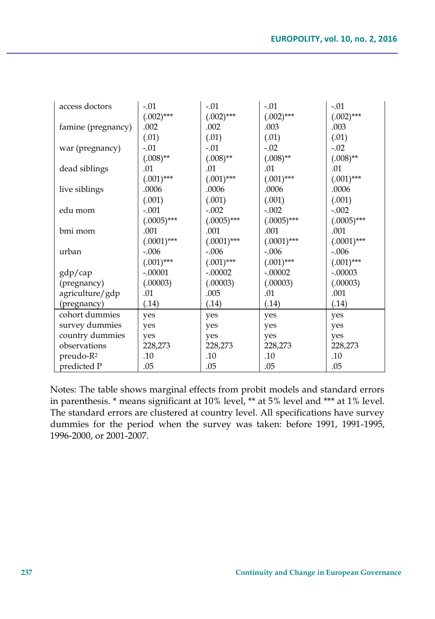| access doctors        | $-.01$        | $-.01$        | $-.01$        | $-.01$        |
|-----------------------|---------------|---------------|---------------|---------------|
|                       | $(.002)$ ***  | $(.002)$ ***  | $(.002)$ ***  | $(.002)$ ***  |
| famine (pregnancy)    | .002          | .002          | .003          | .003          |
|                       | (.01)         | (.01)         | (.01)         | (.01)         |
| war (pregnancy)       | $-.01$        | $-.01$        | $-.02$        | $-.02$        |
|                       | $(.008)$ **   | $(.008)$ **   | $(.008)$ **   | $(.008)$ **   |
| dead siblings         | .01           | .01           | .01           | .01           |
|                       | $(.001)$ ***  | $(.001)$ ***  | $(.001)$ ***  | $(.001)$ ***  |
| live siblings         | .0006         | .0006         | .0006         | .0006         |
|                       | (.001)        | (.001)        | (.001)        | (.001)        |
| edu mom               | $-.001$       | $-.002$       | $-.002$       | $-.002$       |
|                       | $(.0005)***$  | $(.0005)***$  | $(.0005)$ *** | $(.0005)$ *** |
| bmi mom               | .001          | .001          | .001          | .001          |
|                       | $(.0001)$ *** | $(.0001)$ *** | $(.0001)$ *** | $(.0001)$ *** |
| urban                 | $-.006$       | $-.006$       | $-.006$       | $-.006$       |
|                       | $(.001)$ ***  | $(.001)$ ***  | $(.001)$ ***  | $(.001)$ ***  |
| gdp/cap               | $-.00001$     | $-.00002$     | $-.00002$     | $-.00003$     |
| (pregnancy)           | (.00003)      | (.00003)      | (.00003)      | (.00003)      |
| agriculture/gdp       | .01           | .005          | .01           | .001          |
| (pregnancy)           | (.14)         | (.14)         | (.14)         | (.14)         |
| cohort dummies        | yes           | yes           | yes           | yes           |
| survey dummies        | yes           | yes           | yes           | yes           |
| country dummies       | yes           | yes           | yes           | yes           |
| observations          | 228,273       | 228,273       | 228,273       | 228,273       |
| preudo-R <sup>2</sup> | .10           | .10           | .10           | .10           |
| predicted P           | .05           | .05           | .05           | .05           |

Notes: The table shows marginal effects from probit models and standard errors in parenthesis. \* means significant at 10% level, \*\* at 5% level and \*\*\* at 1% level. The standard errors are clustered at country level. All specifications have survey dummies for the period when the survey was taken: before 1991, 1991-1995, 1996-2000, or 2001-2007.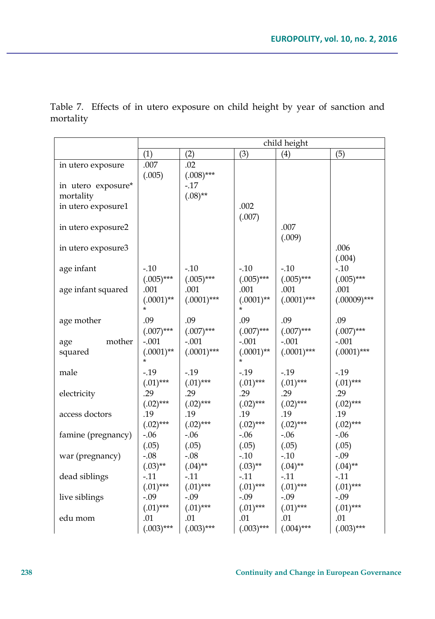|                    | child height           |               |                         |               |                |
|--------------------|------------------------|---------------|-------------------------|---------------|----------------|
|                    | (1)                    | (2)           | (3)                     | (4)           | (5)            |
| in utero exposure  | .007                   | .02           |                         |               |                |
|                    | (.005)                 | $(.008)$ ***  |                         |               |                |
| in utero exposure* |                        | $-.17$        |                         |               |                |
| mortality          |                        | $(.08)$ **    |                         |               |                |
| in utero exposure1 |                        |               | .002                    |               |                |
|                    |                        |               | (.007)                  |               |                |
| in utero exposure2 |                        |               |                         | .007          |                |
|                    |                        |               |                         | (.009)        |                |
| in utero exposure3 |                        |               |                         |               | .006           |
|                    |                        |               |                         |               | (.004)         |
| age infant         | $-0.10$                | $-.10$        | $-.10$                  | $-10$         | $-10$          |
|                    | $(.005)$ ***           | $(.005)$ ***  | $(.005)$ ***            | $(.005)$ ***  | $(.005)$ ***   |
| age infant squared | .001                   | .001          | .001                    | .001          | .001           |
|                    | $(.0001)$ **<br>$\ast$ | $(.0001)$ *** | $(.0001)$ **<br>$\star$ | $(.0001)$ *** | $(.00009)$ *** |
|                    |                        |               |                         |               |                |
| age mother         | .09                    | .09           | .09                     | .09           | .09            |
|                    | $(.007)$ ***           | $(.007)$ ***  | $(.007)^{***}$          | $(.007)$ ***  | $(.007)$ ***   |
| mother<br>age      | $-.001$                | $-.001$       | $-.001$                 | $-.001$       | $-.001$        |
| squared            | $(.0001)$ **           | $(.0001)$ *** | $(.0001)$ **<br>$\star$ | $(.0001)$ *** | $(.0001)$ ***  |
| male               | $-0.19$                | $-19$         | $-.19$                  | $-0.19$       | $-19$          |
|                    | $(.01)$ ***            | $(.01)$ ***   | $(.01)$ ***             | $(.01)$ ***   | $(.01)$ ***    |
| electricity        | .29                    | .29           | .29                     | .29           | .29            |
|                    | $(.02)$ ***            | $(.02)$ ***   | $(.02)$ ***             | $(.02)$ ***   | $(.02)$ ***    |
| access doctors     | .19                    | .19           | .19                     | .19           | .19            |
|                    | $(.02)***$             | $(.02)$ ***   | $(.02)$ ***             | $(.02)$ ***   | $(.02)$ ***    |
| famine (pregnancy) | $-.06$                 | $-.06$        | $-.06$                  | $-0.06$       | $-.06$         |
|                    | (.05)                  | (.05)         | (.05)                   | (.05)         | (.05)          |
| war (pregnancy)    | $-.08$                 | $-.08$        | $-.10$                  | $-.10$        | $-.09$         |
|                    | $(.03)$ **             | $(.04)$ **    | $(.03)$ **              | $(.04)$ **    | $(.04)$ **     |
| dead siblings      | $-0.11$                | $-.11$        | $-.11$                  | $-.11$        | $-11$          |
|                    | $(.01)$ ***            | $(.01)$ ***   | $(.01)$ ***             | $(.01)$ ***   | $(.01)$ ***    |
| live siblings      | $-.09$                 | $-.09$        | $-.09$                  | $-.09$        | $-.09$         |
|                    | $(.01)$ ***            | $(.01)$ ***   | $(.01)$ ***             | $(.01)$ ***   | $(.01)$ ***    |
| edu mom            | .01                    | .01           | .01                     | .01           | .01            |
|                    | $(.003)***$            | $(.003)***$   | $(.003)***$             | $(.004)$ ***  | $(.003)***$    |

Table 7. Effects of in utero exposure on child height by year of sanction and mortality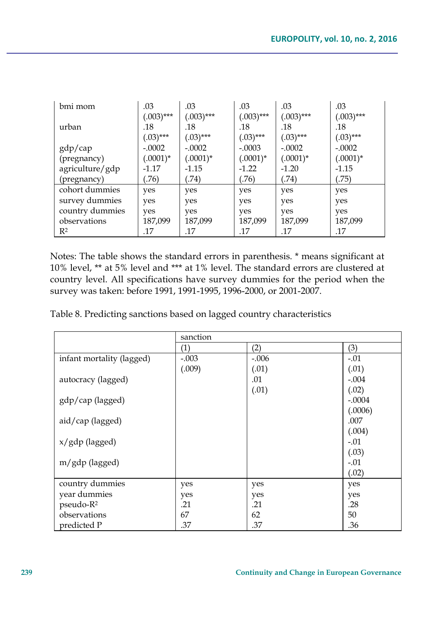| bmi mom         | .03          | .03          | .03          | .03          | .03          |
|-----------------|--------------|--------------|--------------|--------------|--------------|
|                 | $(.003)$ *** | $(.003)$ *** | $(.003)$ *** | $(.003)$ *** | $(.003)$ *** |
| urban           | .18          | .18          | .18          | .18          | .18          |
|                 | $(.03)$ ***  | $(.03)$ ***  | $(.03)$ ***  | $(.03)$ ***  | $(.03)$ ***  |
| gdp/cap         | $-.0002$     | $-.0002$     | $-.0003$     | $-.0002$     | $-.0002$     |
| (pregnancy)     | $(.0001)^*$  | $(.0001)^*$  | $(.0001)^*$  | $(.0001)^*$  | $(.0001)^*$  |
| agriculture/gdp | $-1.17$      | $-1.15$      | $-1.22$      | $-1.20$      | $-1.15$      |
| (pregnancy)     | (76)         | (.74)        | (76)         | (74)         | (.75)        |
| cohort dummies  | yes          | yes          | yes          | yes          | yes          |
| survey dummies  | yes          | yes          | yes          | yes          | yes          |
| country dummies | yes          | yes          | yes          | yes          | yes          |
| observations    | 187,099      | 187,099      | 187,099      | 187,099      | 187,099      |
| $\mathbb{R}^2$  | .17          | .17          | .17          | .17          | .17          |

Notes: The table shows the standard errors in parenthesis. \* means significant at 10% level, \*\* at 5% level and \*\*\* at 1% level. The standard errors are clustered at country level. All specifications have survey dummies for the period when the survey was taken: before 1991, 1991-1995, 1996-2000, or 2001-2007.

Table 8. Predicting sanctions based on lagged country characteristics

|                           | sanction |         |          |
|---------------------------|----------|---------|----------|
|                           | (1)      | (2)     | (3)      |
| infant mortality (lagged) | $-.003$  | $-.006$ | $-.01$   |
|                           | (.009)   | (.01)   | (.01)    |
| autocracy (lagged)        |          | .01     | $-.004$  |
|                           |          | (.01)   | (.02)    |
| gdp/cap (lagged)          |          |         | $-.0004$ |
|                           |          |         | (.0006)  |
| aid/cap (lagged)          |          |         | .007     |
|                           |          |         | (.004)   |
| x/gdp (lagged)            |          |         | $-.01$   |
|                           |          |         | (.03)    |
| m/gdp (lagged)            |          |         | $-.01$   |
|                           |          |         | (.02)    |
| country dummies           | yes      | yes     | yes      |
| year dummies              | yes      | yes     | yes      |
| pseudo-R <sup>2</sup>     | .21      | .21     | .28      |
| observations              | 67       | 62      | 50       |
| predicted P               | .37      | .37     | .36      |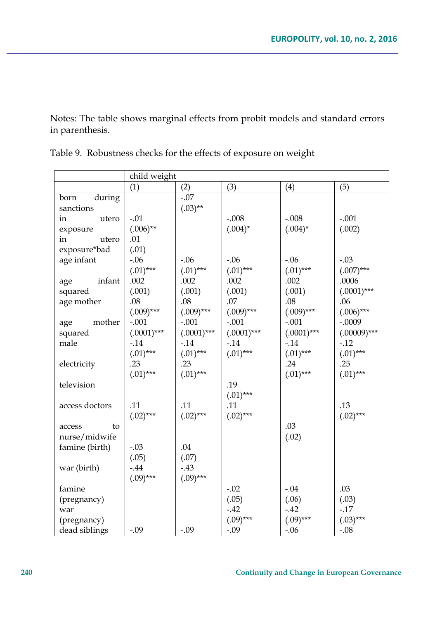Notes: The table shows marginal effects from probit models and standard errors in parenthesis.

|                | child weight  |               |               |               |                |
|----------------|---------------|---------------|---------------|---------------|----------------|
|                | (1)           | (2)           | (3)           | (4)           | (5)            |
| during<br>born |               | $-.07$        |               |               |                |
| sanctions      |               | $(.03)$ **    |               |               |                |
| utero<br>in    | $-.01$        |               | $-.008$       | $-.008$       | $-.001$        |
| exposure       | $(.006)$ **   |               | $(.004)^*$    | $(.004)^*$    | (.002)         |
| utero<br>in    | .01           |               |               |               |                |
| exposure*bad   | (.01)         |               |               |               |                |
| age infant     | $-.06$        | $-0.06$       | $-.06$        | $-.06$        | $-.03$         |
|                | $(.01)$ ***   | $(.01)$ ***   | $(.01)$ ***   | $(.01)$ ***   | $(.007)$ ***   |
| infant<br>age  | .002          | .002          | .002          | .002          | .0006          |
| squared        | (.001)        | (.001)        | (.001)        | (.001)        | $(.0001)$ ***  |
| age mother     | .08           | .08           | .07           | .08           | .06            |
|                | $(.009)$ ***  | $(.009)$ ***  | $(.009)$ ***  | $(.009)$ ***  | $(.006)$ ***   |
| mother<br>age  | $-.001$       | $-.001$       | $-.001$       | $-.001$       | $-.0009$       |
| squared        | $(.0001)$ *** | $(.0001)$ *** | $(.0001)$ *** | $(.0001)$ *** | $(.00009)$ *** |
| male           | $-0.14$       | $-0.14$       | $-14$         | $-14$         | $-12$          |
|                | $(.01)$ ***   | $(.01)$ ***   | $(.01)$ ***   | $(.01)$ ***   | $(.01)$ ***    |
| electricity    | .23           | .23           |               | .24           | .25            |
|                | $(.01)$ ***   | $(.01)$ ***   |               | $(.01)$ ***   | $(.01)$ ***    |
| television     |               |               | .19           |               |                |
|                |               |               | $(.01)$ ***   |               |                |
| access doctors | .11           | .11           | .11           |               | .13            |
|                | $(.02)$ ***   | $(.02)$ ***   | $(.02)$ ***   |               | $(.02)$ ***    |
| to<br>access   |               |               |               | .03           |                |
| nurse/midwife  |               |               |               | (.02)         |                |
| famine (birth) | $-.03$        | $.04\,$       |               |               |                |
|                | (.05)         | (.07)         |               |               |                |
| war (birth)    | $-.44$        | $-43$         |               |               |                |
|                | $(.09)$ ***   | $(.09)$ ***   |               |               |                |
| famine         |               |               | $-.02$        | $-.04$        | .03            |
| (pregnancy)    |               |               | (.05)         | (.06)         | (.03)          |
| war            |               |               | $-.42$        | $-.42$        | $-17$          |
| (pregnancy)    |               |               | $(.09)$ ***   | $(.09)$ ***   | $(.03)***$     |
| dead siblings  | $-.09$        | $-.09$        | $-0.09$       | $-0.06$       | $-.08$         |

Table 9. Robustness checks for the effects of exposure on weight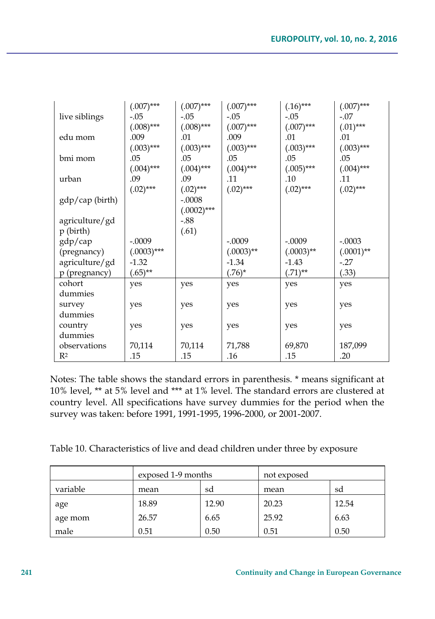|                 | $(.007)$ ***  | $(.007)$ ***  | $(.007)$ *** | $(.16)$ ***  | $(.007)$ *** |
|-----------------|---------------|---------------|--------------|--------------|--------------|
| live siblings   | -.05          | $-.05$        | $-.05$       | $-.05$       | $-.07$       |
|                 | $(.008)$ ***  | $(.008)$ ***  | $(.007)$ *** | $(.007)$ *** | $(.01)$ ***  |
| edu mom         | .009          | .01           | .009         | .01          | .01          |
|                 | $(.003)$ ***  | $(.003)$ ***  | $(.003)$ *** | $(.003)$ *** | $(.003)$ *** |
| bmi mom         | .05           | .05           | .05          | .05          | .05          |
|                 | $(.004)$ ***  | $(.004)$ ***  | $(.004)$ *** | $(.005)$ *** | $(.004)$ *** |
| urban           | .09           | .09           | .11          | .10          | .11          |
|                 | $(.02)$ ***   | $(.02)$ ***   | $(.02)$ ***  | $(.02)$ ***  | $(.02)$ ***  |
| gdp/cap (birth) |               | $-.0008$      |              |              |              |
|                 |               | $(.0002)$ *** |              |              |              |
| agriculture/gd  |               | $-.88$        |              |              |              |
| $p$ (birth)     |               | (.61)         |              |              |              |
| gdp/cap         | $-.0009$      |               | $-.0009$     | $-.0009$     | $-.0003$     |
| (pregnancy)     | $(.0003)$ *** |               | $(.0003)$ ** | $(.0003)$ ** | $(.0001)$ ** |
| agriculture/gd  | $-1.32$       |               | $-1.34$      | $-1.43$      | $-27$        |
| p (pregnancy)   | $(.65)$ **    |               | $(.76)^*$    | $(.71)$ **   | (.33)        |
| cohort          | yes           | yes           | yes          | yes          | yes          |
| dummies         |               |               |              |              |              |
| survey          | yes           | yes           | yes          | yes          | yes          |
| dummies         |               |               |              |              |              |
| country         | yes           | yes           | yes          | yes          | yes          |
| dummies         |               |               |              |              |              |
| observations    | 70,114        | 70,114        | 71,788       | 69,870       | 187,099      |
| R <sup>2</sup>  | .15           | .15           | .16          | .15          | .20          |

Notes: The table shows the standard errors in parenthesis. \* means significant at 10% level, \*\* at 5% level and \*\*\* at 1% level. The standard errors are clustered at country level. All specifications have survey dummies for the period when the survey was taken: before 1991, 1991-1995, 1996-2000, or 2001-2007.

Table 10. Characteristics of live and dead children under three by exposure

|          | exposed 1-9 months |       | not exposed |       |
|----------|--------------------|-------|-------------|-------|
| variable | mean               | sd    | mean        | sd    |
| age      | 18.89              | 12.90 | 20.23       | 12.54 |
| age mom  | 26.57              | 6.65  | 25.92       | 6.63  |
| male     | 0.51               | 0.50  | 0.51        | 0.50  |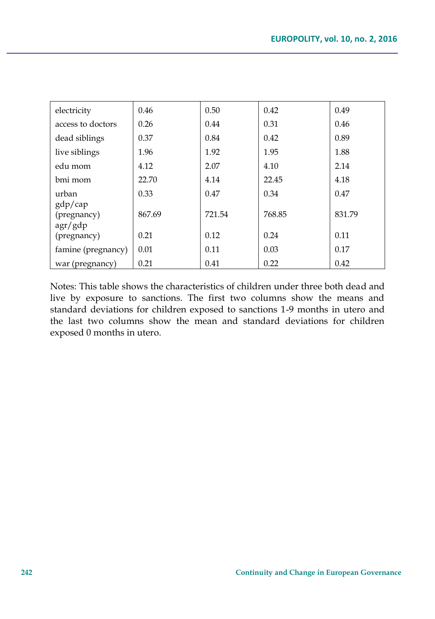| electricity                       | 0.46   | 0.50   | 0.42   | 0.49   |
|-----------------------------------|--------|--------|--------|--------|
| access to doctors                 | 0.26   | 0.44   | 0.31   | 0.46   |
| dead siblings                     | 0.37   | 0.84   | 0.42   | 0.89   |
| live siblings                     | 1.96   | 1.92   | 1.95   | 1.88   |
| edu mom                           | 4.12   | 2.07   | 4.10   | 2.14   |
| bmi mom                           | 22.70  | 4.14   | 22.45  | 4.18   |
| urban                             | 0.33   | 0.47   | 0.34   | 0.47   |
| gdp/cap<br>(pregnancy)<br>agr/gdp | 867.69 | 721.54 | 768.85 | 831.79 |
| (pregnancy)                       | 0.21   | 0.12   | 0.24   | 0.11   |
| famine (pregnancy)                | 0.01   | 0.11   | 0.03   | 0.17   |
| war (pregnancy)                   | 0.21   | 0.41   | 0.22   | 0.42   |

Notes: This table shows the characteristics of children under three both dead and live by exposure to sanctions. The first two columns show the means and standard deviations for children exposed to sanctions 1-9 months in utero and the last two columns show the mean and standard deviations for children exposed 0 months in utero.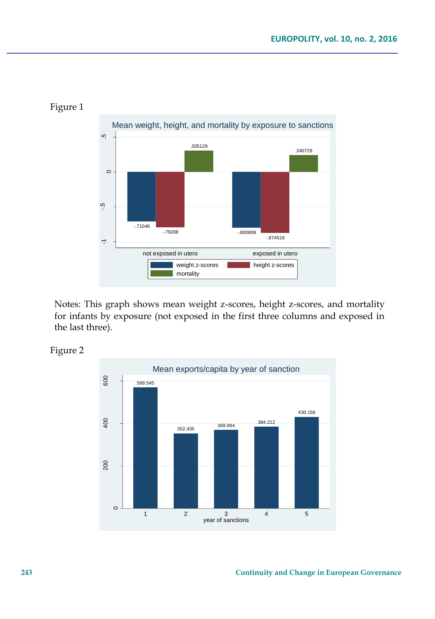

#### Figure 1

Notes: This graph shows mean weight z-scores, height z-scores, and mortality for infants by exposure (not exposed in the first three columns and exposed in the last three).

Figure 2

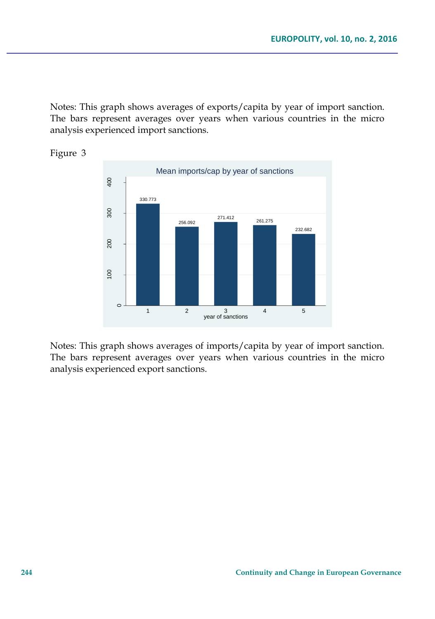Notes: This graph shows averages of exports/capita by year of import sanction. The bars represent averages over years when various countries in the micro analysis experienced import sanctions.





Notes: This graph shows averages of imports/capita by year of import sanction. The bars represent averages over years when various countries in the micro analysis experienced export sanctions.